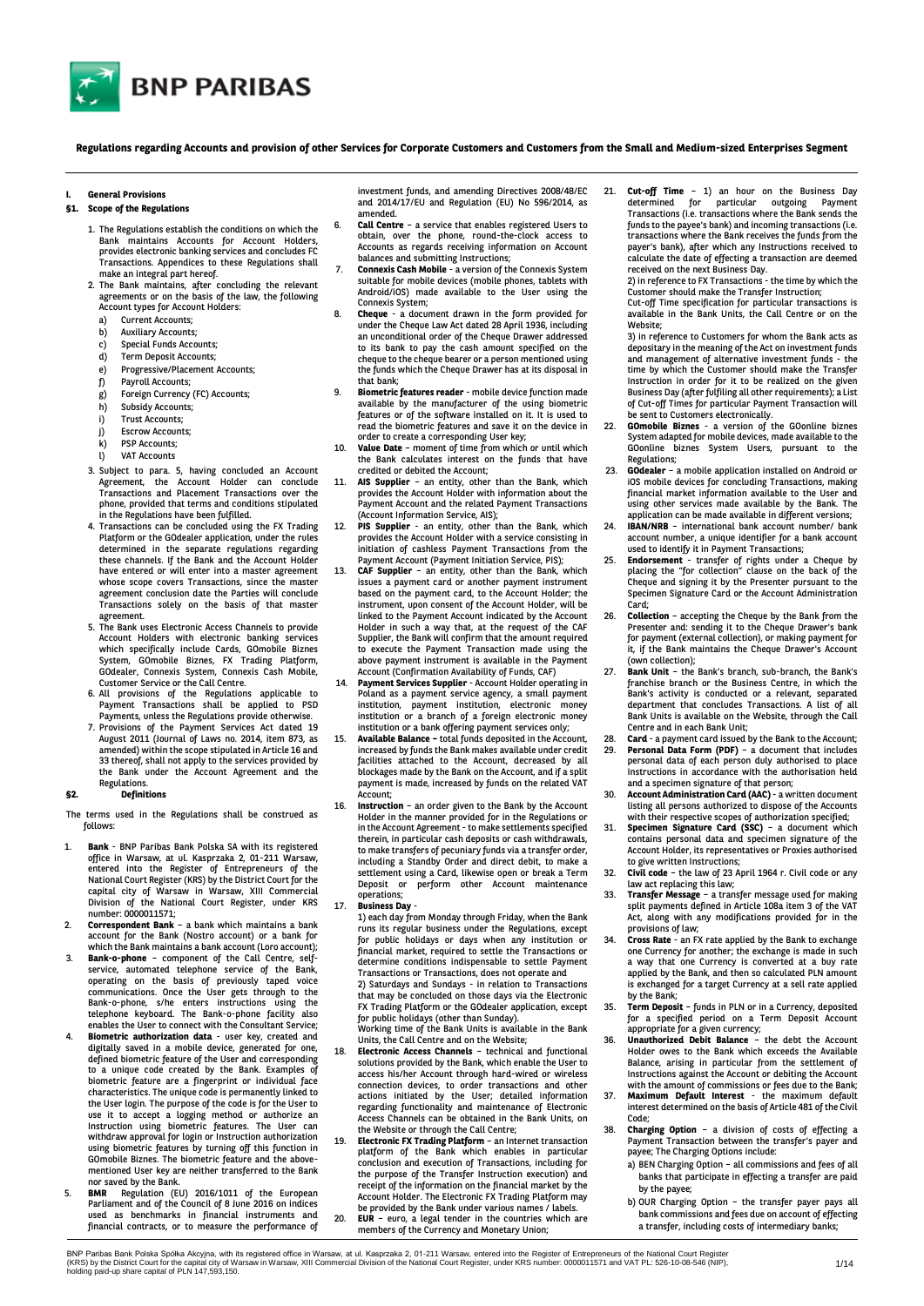

**Regulations regarding Accounts and provision of other Services for Corporate Customers and Customers from the Small and Medium-sized Enterprises Segment**

#### **I. General Provisions**

## **§1. Scope of the Regulations**

- 1. The Regulations establish the conditions on which the Bank maintains Accounts for Account Holders, provides electronic banking services and concludes FC Transactions. Appendices to these Regulations shall make an integral part hereof.
- 2. The Bank maintains, after concluding the relevant agreements or on the basis of the law, the following Account types for Account Holders:
	- a) Current Accounts;
	- b) Auxiliary Accounts;
	- c) Special Funds Accounts;<br>d) Term Deposit Accounts:
	- Term Deposit Accounts;
	- e) Progressive/Placement Accounts;<br>f) Payroll Accounts;
	- Payroll Accounts;
	- g) Foreign Currency (FC) Accounts;
	- h) Subsidy Accounts;
	- i) Trust Accounts;
	- j) Escrow Accounts;
	- k) PSP Accounts;
	- l) VAT Accounts
- 3. Subject to para. 5, having concluded an Account Agreement, the Account Holder can conclude Transactions and Placement Transactions over the phone, provided that terms and conditions stipulated in the Regulations have been fulfilled.
- 4. Transactions can be concluded using the FX Trading Platform or the GOdealer application, under the rules determined in the separate regulations regarding these channels. If the Bank and the Account Holder have entered or will enter into a master agreement whose scope covers Transactions, since the master agreement conclusion date the Parties will conclude Transactions solely on the basis of that master agreement.
- 5. The Bank uses Electronic Access Channels to provide Account Holders with electronic banking services which specifically include Cards, GOmobile Biznes System, GOmobile Biznes, FX Trading Platform, GOdealer, Connexis System, Connexis Cash Mobile, Customer Service or the Call Centre.
- 6. All provisions of the Regulations applicable to Payment Transactions shall be applied to PSD
- Payments, unless the Regulations provide otherwise. 7. Provisions of the Payment Services Act dated 19 August 2011 (Journal of Laws no. 2014, item 873, as amended) within the scope stipulated in Article 16 and 33 thereof, shall not apply to the services provided by the Bank under the Account Agreement and the Regulations.

## **§2. Definitions**

The terms used in the Regulations shall be construed as follows:

- 1. **Bank** BNP Paribas Bank Polska SA with its registered office in Warsaw, at ul. Kasprzaka 2, 01-211 Warsaw, entered into the Register of Entrepreneurs of the National Court Register (KRS) by the District Court for the capital city of Warsaw in Warsaw, XIII Commercial Division of the National Court Register, under KRS number: 0000011571;
- 2. **Correspondent Bank** a bank which maintains a bank account for the Bank (Nostro account) or a bank for which the Bank maintains a bank account (Loro account)
- 3. **Bank-o-phone**  component of the Call Centre, selfservice, automated telephone service of the Bank, operating on the basis of previously taped voice communications. Once the User gets through to the Bank-o-phone, s/he enters instructions using the telephone keyboard. The Bank-o-phone facility also enables the User to connect with the Consultant Service;
- 4. **Biometric authorization data** user key, created and digitally saved in a mobile device, generated for one, defined biometric feature of the User and corresponding to a unique code created by the Bank. Examples of biometric feature are a fingerprint or individual face characteristics. The unique code is permanently linked to the User login. The purpose of the code is for the User to use it to accept a logging method or authorize an Instruction using biometric features. The User can withdraw approval for login or Instruction authorization using biometric features by turning off this function in GOmobile Biznes. The biometric feature and the abovementioned User key are neither transferred to the Bank nor saved by the Bank.
- 5. **BMR** Regulation (EU) 2016/1011 of the European Parliament and of the Council of 8 June 2016 on indices used as benchmarks in financial instruments and financial contracts, or to measure the performance of

investment funds, and amending Directives 2008/48/EC and 2014/17/EU and Regulation (EU) No 596/2014, as amended.

- 6. **Call Centre** a service that enables registered Users to obtain, over the phone, round-the-clock access to Accounts as regards receiving information on Account
- balances and submitting Instructions; 7. **Connexis Cash Mobile**  a version of the Connexis System suitable for mobile devices [\(mobile phones,](https://pl.wikipedia.org/wiki/Telefon_komórkowy) [tablets](https://pl.wikipedia.org/wiki/Tablet_(komputer)) with Android/iOS) made available to the User using the Connexis System;
- 8. **Cheque** a document drawn in the form provided for under the Cheque Law Act dated 28 April 1936, including an unconditional order of the Cheque Drawer addressed to its bank to pay the cash amount specified on the cheque to the cheque bearer or a person mentioned using the funds which the Cheque Drawer has at its disposal in that bank;
- 9. **Biometric features reader** mobile device function made available by the manufacturer of the using biometric features or of the software installed on it. It is used to read the biometric features and save it on the device in
- order to create a corresponding User key; 10. **Value Date** moment of time from which or until which the Bank calculates interest on the funds that have credited or debited the Account;
- 11. **AIS Supplier** an entity, other than the Bank, which provides the Account Holder with information about the Payment Account and the related Payment Transactions (Account Information Service, AIS);
- 12. **PIS Supplier** an entity, other than the Bank, which provides the Account Holder with a service consisting in initiation of cashless Payment Transactions from the Payment Account (Payment Initiation Service, PIS);
- 13. **CAF Supplier** an entity, other than the Bank, which issues a payment card or another payment instrument based on the payment card, to the Account Holder; the instrument, upon consent of the Account Holder, will be linked to the Payment Account indicated by the Account Holder in such a way that, at the request of the CAF Supplier, the Bank will confirm that the amount required to execute the Payment Transaction made using the above payment instrument is available in the Payment Account (Confirmation Availability of Funds, CAF)
- 14. **Payment Services Supplier** Account Holder operating in Poland as a payment service agency, a small payment institution, payment institution, electronic money institution or a branch of a foreign electronic money institution or a bank offering payment services only;
- 15. **Available Balance –** total funds deposited in the Account, increased by funds the Bank makes available under credit facilities attached to the Account, decreased by all blockages made by the Bank on the Account, and if a split payment is made, increased by funds on the related VAT Account;
- 16. **Instruction** an order given to the Bank by the Account Holder in the manner provided for in the Regulations or in the Account Agreement - to make settlements specified therein, in particular cash deposits or cash withdrawals, to make transfers of pecuniary funds via a transfer order, including a Standby Order and direct debit, to make a settlement using a Card, likewise open or break a Term Deposit or perform other Account maintenance operations;
- 17. **Business Day**
	- 1) each day from Monday through Friday, when the Bank runs its regular business under the Regulations, except for public holidays or days when any institution or financial market, required to settle the Transactions or determine conditions indispensable to settle Payment Transactions or Transactions, does not operate and 2) Saturdays and Sundays - in relation to Transactions that may be concluded on those days via the Electronic FX Trading Platform or the GOdealer application, except for public holidays (other than Sunday).
- Working time of the Bank Units is available in the Bank Units, the Call Centre and on the Website; 18. **Electronic Access Channels** – technical and functional solutions provided by the Bank, which enable the User to access his/her Account through hard-wired or wireless connection devices, to order transactions and other actions initiated by the User; detailed information regarding functionality and maintenance of Electronic Access Channels can be obtained in the Bank Units, on
- the Website or through the Call Centre; 19. **Electronic FX Trading Platform** – an Internet transaction platform of the Bank which enables in particular conclusion and execution of Transactions, including for the purpose of the Transfer Instruction execution)  $\overline{\phantom{a}}$ receipt of the information on the financial market by the Account Holder. The Electronic FX Trading Platform may be provided by the Bank under various names / labels.
- 20. **EUR** euro, a legal tender in the countries which are members of the Currency and Monetary Union;

Cut-off Time - 1) an hour on the Business Day determined for particular outgoing Payment Transactions (i.e. transactions where the Bank sends the funds to the payee's bank) and incoming transactions (i.e. transactions where the Bank receives the funds from the payer's bank), after which any Instructions received to calculate the date of effecting a transaction are deemed received on the next Business Day. 2) in reference to FX Transactions - the time by which the

Customer should make the Transfer Instruction;

Cut-off Time specification for particular transactions is available in the Bank Units, the Call Centre or on the Website;

3) in reference to Customers for whom the Bank acts as depositary in the meaning of the Act on investment funds and management of alternative investment funds - the time by which the Customer should make the Transfer Instruction in order for it to be realized on the given Business Day (after fulfiling all other requirements); a List of Cut-off Times for particular Payment Transaction will be sent to Customers electronically.

- 22. **GOmobile Biznes** a version of the GOonline biznes System adapted for mobile devices, made available to the GOonline biznes System Users, pursuant to the Regulations;
- 23. **GOdealer**  a mobile application installed on Android or iOS mobile devices for concluding Transactions, making financial market information available to the User and using other services made available by the Bank. The application can be made available in different versions;
- IBAN/NRB international bank account number/ bank account number, a unique identifier for a bank account used to identify it in Payment Transactions;
- 25. **Endorsement** transfer of rights under a Cheque by placing the "for collection" clause on the back of the Cheque and signing it by the Presenter pursuant to the Specimen Signature Card or the Account Administration Card;
- 26. **Collection** accepting the Cheque by the Bank from the Presenter and: sending it to the Cheque Drawer's bank for payment (external collection), or making payment for it, if the Bank maintains the Cheque Drawer's Account
- (own collection); 27. **Bank Unit** the Bank's branch, sub-branch, the Bank's franchise branch or the Business Centre, in which the Bank's activity is conducted or a relevant, separated department that concludes Transactions. A list of all Bank Units is available on the Website, through the Call Centre and in each Bank Unit;
- 28. **Card a payment card issued by the Bank to the Account;<br>29. <b>Personal Data Form (PDF)** a document that includes 29. **Personal Data Form (PDF)** – a document that includes personal data of each person duly authorised to place Instructions in accordance with the authorisation held and a specimen signature of that person;
- 30. **Account Administration Card (AAC)** a written document listing all persons authorized to dispose of the Accounts
- with their respective scopes of authorization specified; 31. **Specimen Signature Card (SSC)** a document which contains personal data and specimen signature of the Account Holder, its representatives or Proxies authorised to give written Instructions;
- 32. **Civil code** the law of 23 April 1964 r. Civil code or any law act replacing this law;
- 33. **Transfer Message**  a transfer message used for making split payments defined in Article 108a item 3 of the VAT Act, along with any modifications provided for in the provisions of law;
- 34. **Cross Rate** an FX rate applied by the Bank to exchange one Currency for another; the exchange is made in such a way that one Currency is converted at a buy rate applied by the Bank, and then so calculated PLN amount is exchanged for a target Currency at a sell rate applied by the Bank;
- 35. **Term Deposit** funds in PLN or in a Currency, deposited for a specified period on a Term Deposit Account
- appropriate for a given currency; 36. **Unauthorized Debit Balance** the debt the Account Holder owes to the Bank which exceeds the Available Balance, arising in particular from the settlement of Instructions against the Account or debiting the Account with the amount of commissions or fees due to the Bank;
- 37. **Maximum Default Interest** the maximum default interest determined on the basis of Article 481 of the Civil Code;
- 38. **Charging Option** a division of costs of effecting a Payment Transaction between the transfer's payer and payee; The Charging Options include:
	- a) BEN Charging Option all commissions and fees of all banks that participate in effecting a transfer are paid by the payee;
	- b) OUR Charging Option the transfer payer pays all bank commissions and fees due on account of effecting a transfer, including costs of intermediary banks;

BNP Paribas Bank Polska Spółka Akcyjna, with its registered office in Warsaw, at ul. Kasprzaka 2, 01-211 Warsaw, entered into the Register of Entrepreneurs of the National Court Register<br>(KRS) by the District Court for the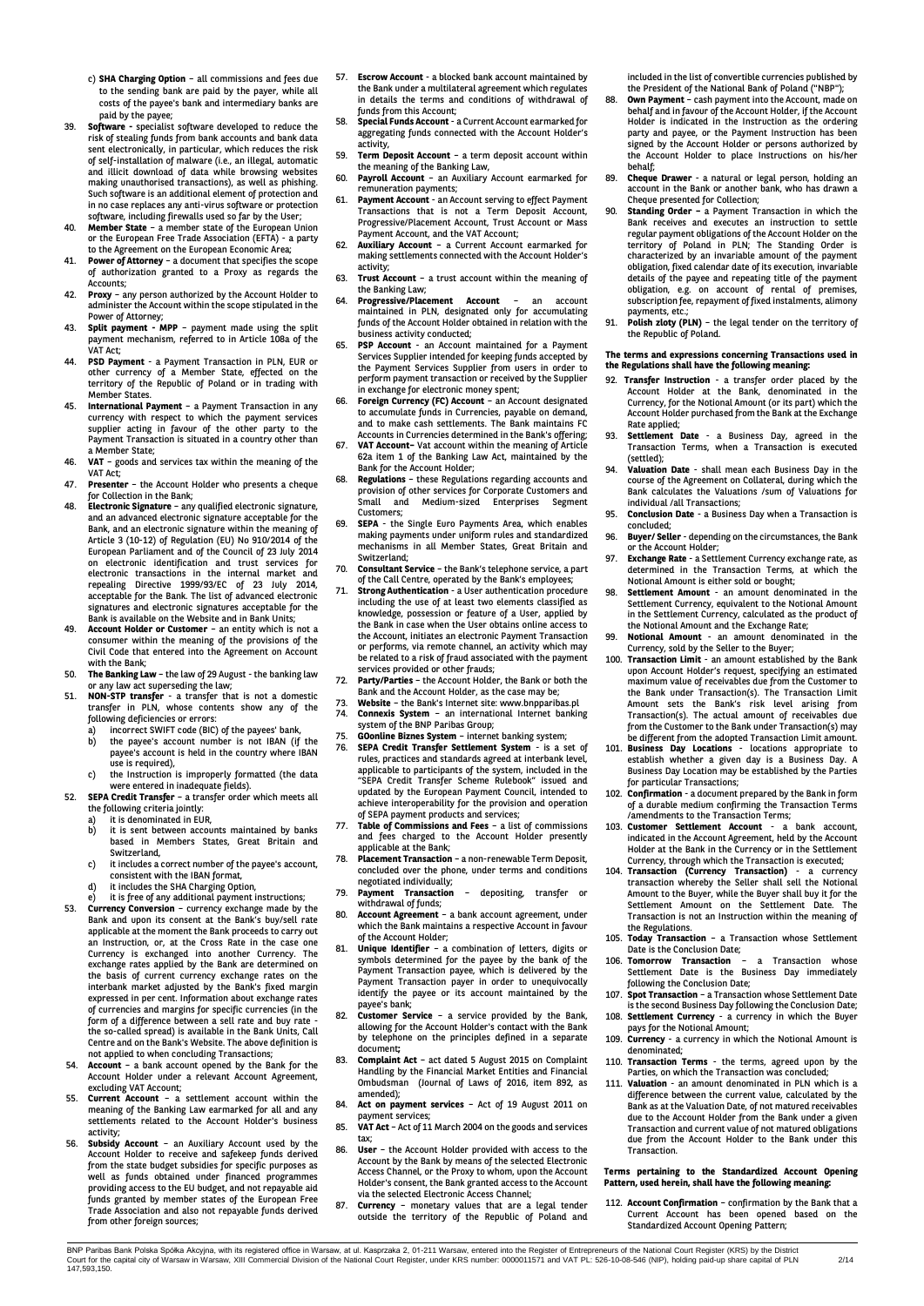- c) **SHA Charging Option** all commissions and fees due to the sending bank are paid by the payer, while all costs of the payee's bank and intermediary banks are paid by the payee;
- 39. **Software -** specialist software developed to reduce the risk of stealing funds from bank accounts and bank data sent electronically, in particular, which reduces the risk of self-installation of malware (i.e., an illegal, automatic and illicit download of data while browsing websites making unauthorised transactions), as well as phishing. Such software is an additional element of protection and in no case replaces any anti-virus software or protection software, including firewalls used so far by the User;
- 40. **Member State** a member state of the European Union or the European Free Trade Association (EFTA) - a party
- to the Agreement on the European Economic Area; 41. **Power of Attorney** a document that specifies the scope of authorization granted to a Proxy as regards the Accounts;
- 42. **Proxy** any person authorized by the Account Holder to administer the Account within the scope stipulated in the
- Power of Attorney; 43. **Split payment - MPP**  payment made using the split payment mechanism, referred to in Article 108a of the VAT Act;
- 44. **PSD Payment** a Payment Transaction in PLN, EUR or other currency of a Member State, effected on the territory of the Republic of Poland or in trading with Member States.
- 45. **International Payment**  a Payment Transaction in any currency with respect to which the payment services supplier acting in favour of the other party to the Payment Transaction is situated in a country other than a Member State;
- 46. **VAT**  goods and services tax within the meaning of the
- VAT Act; 47. **Presenter**  the Account Holder who presents a cheque for Collection in the Bank;
- 48. **Electronic Signature** any qualified electronic signature, and an advanced electronic signature acceptable for the Bank, and an electronic signature within the meaning of Bank, and an electronic signature within the meaning<br>Article 3 (10-12) of Regulation (EU) No 910/2014 of European Parliament and of the Council of 23 July 2014 on electronic identification and trust services for electronic transactions in the internal market and repealing Directive 1999/93/EC of 23 July 2014, acceptable for the Bank. The list of advanced electronic signatures and electronic signatures acceptable for the Bank is available on the Website and in Bank Units;
- 49. **Account Holder or Customer** an entity which is not a consumer within the meaning of the provisions of the Civil Code that entered into the Agreement on Account with the Bank;
- 50. **The Banking Law** the law of 29 August the banking law or any law act superseding the law; 51. **NON-STP transfer** - a transfer that is not a domestic
- transfer in PLN, whose contents show any of the following deficiencies or errors:
	- a) incorrect SWIFT code (BIC) of the payees' bank, b) the payee's account number is not IBAN (if the payee's account is held in the country where IBAN
	- use is required), c) the Instruction is improperly formatted (the data
- were entered in inadequate fields). 52. **SEPA Credit Transfer**  a transfer order which meets all the following criteria jointly:
	-
	- a) it is denominated in EUR,<br>b) it is sent between accou it is sent between accounts maintained by banks based in Members States, Great Britain and Switzerland,
	- c) it includes a correct number of the payee's account,
	- consistent with the IBAN format,
	- d) it includes the SHA Charging Option, e) it is free of any additional payment instructions;
- 53. **Currency Conversion** currency exchange made by the Bank and upon its consent at the Bank's buy/sell rate applicable at the moment the Bank proceeds to carry out an Instruction, or, at the Cross Rate in the case one Currency is exchanged into another Currency. The exchange rates applied by the Bank are determined on the basis of current currency exchange rates on the interbank market adjusted by the Bank's fixed margin expressed in per cent. Information about exchange rates of currencies and margins for specific currencies (in the form of a difference between a sell rate and buy rate the so-called spread) is available in the Bank Units, Call Centre and on the Bank's Website. The above definition is not applied to when concluding Transactions;
- 54. **Account** a bank account opened by the Bank for the Account Holder under a relevant Account Agreement, excluding VAT Account;
- 55. **Current Account** a settlement account within the meaning of the Banking Law earmarked for all and any settlements related to the Account Holder's business activity;
- 56. **Subsidy Account** an Auxiliary Account used by the Account Holder to receive and safekeep funds derived from the state budget subsidies for specific purposes as well as funds obtained under financed programmes providing access to the EU budget, and not repayable aid funds granted by member states of the European Free Trade Association and also not repayable funds derived from other foreign sources;
- 57. **Escrow Account** a blocked bank account maintained by the Bank under a multilateral agreement which regulates in details the terms and conditions of withdrawal of funds from this Account;
- 58. **Special Funds Account** a Current Account earmarked for aggregating funds connected with the Account Holder's activity,
- 59. **Term Deposit Account** a term deposit account within the meaning of the Banking Law,
- 60. **Payroll Account** an Auxiliary Account earmarked for remuneration payments;
- Payment Account an Account serving to effect Payment Transactions that is not a Term Deposit Account, Progressive/Placement Account, Trust Account or Mass Payment Account, and the VAT Account;
- 62. **Auxiliary Account** a Current Account earmarked for making settlements connected with the Account Holder's activity;
- 63. **Trust Account** a trust account within the meaning of the Banking Law; 64. **Progressive/Placement Account** – an account
- maintained in PLN, designated only for accumulating funds of the Account Holder obtained in relation with the business activity conducted;
- 65. **PSP Account** an Account maintained for a Payment Services Supplier intended for keeping funds accepted by the Payment Services Supplier from users in order to perform payment transaction or received by the Supplier in exchange for electronic money spent;
- 66. **Foreign Currency (FC) Account**  an Account designated to accumulate funds in Currencies, payable on demand, and to make cash settlements. The Bank maintains FC Accounts in Currencies determined in the Bank's offering;
- 67. **VAT Account–** Vat account within the meaning of Article 62a item 1 of the Banking Law Act, maintained by the
- Bank for the Account Holder; 68. **Regulations** these Regulations regarding accounts and provision of other services for Corporate Customers and Small and Medium-sized Enterprises Segment Customers;
- 69. **SEPA** the Single Euro Payments Area, which enables making payments under uniform rules and standardized mechanisms in all Member States, Great Britain and Switzerland; 70. **Consultant Service** – the Bank's telephone service, a part
- of the Call Centre, operated by the Bank's employees;<br>Strong Authentication a User authentication procedure
- 71. **Strong Authentication** a User authentication p including the use of at least two elements classified as knowledge, possession or feature of a User, applied by the Bank in case when the User obtains online access to the Account, initiates an electronic Payment Transaction or performs, via remote channel, an activity which may be related to a risk of fraud associated with the payment services provided or other frauds;
- 72. **Party/Parties** the Account Holder, the Bank or both the Bank and the Account Holder, as the case may be;
- 73. **Website**  the Bank's Internet site: www.bnpparibas.pl 74. **Connexis System** – an international Internet banking system of the BNP Paribas Group;
- 
- 75. **GOonline Biznes System**  internet banking system; 76. **SEPA Credit Transfer Settlement System** - is a set of rules, practices and standards agreed at interbank level, applicable to participants of the system, included in the "SEPA Credit Transfer Scheme Rulebook" issued and updated by the European Payment Council, intended to achieve interoperability for the provision and operation of SEPA payment products and services;
- 77. **Table of Commissions and Fees** a list of commissions and fees charged to the Account Holder presently applicable at the Bank;
- 78. **Placement Transaction** a non-renewable Term Deposit, concluded over the phone, under terms and conditions
- negotiated individually; 79. **Payment Transaction** – depositing, transfer or
- withdrawal of funds; 80. **Account Agreement** – a bank account agreement, under
- which the Bank maintains a respective Account in favour
- of the Account Holder;<br>81. **Unique Identifier** a combination of letters, digits or<br>symbols determined for the payee by the bank of the<br>Payment Transaction payee, which is delivered by the Payment Transaction payer in order to unequivocally identify the payee or its account maintained by the payee's bank; 82. **Customer Service** – a service provided by the Bank,
- allowing for the Account Holder's contact with the Bank by telephone on the principles defined in a separate document**;**
- 83. **Complaint Act** act dated 5 August 2015 on Complaint Handling by the Financial Market Entities and Financial Ombudsman (Journal of Laws of 2016, item 892, as amended);
- 84. **Act on payment services**  Act of 19 August 2011 on payment services;
- 85. **VAT Act**  Act of 11 March 2004 on the goods and services tax;
- 86. **User** the Account Holder provided with access to the Account by the Bank by means of the selected Electronic Access Channel, or the Proxy to whom, upon the Account Holder's consent, the Bank granted access to the Account via the selected Electronic Access Channel;
- 87. **Currency**  monetary values that are a legal tender outside the territory of the Republic of Poland and

included in the list of convertible currencies published by the President of the National Bank of Poland ("NBP");

- 88. **Own Payment** cash payment into the Account, made on behalf and in favour of the Account Holder, if the Account Holder is indicated in the Instruction as the ordering party and payee, or the Payment Instruction has been signed by the Account Holder or persons authorized by the Account Holder to place Instructions on his/her behalf;
- 89. **Cheque Drawer**  a natural or legal person, holding an account in the Bank or another bank, who has drawn a Cheque presented for Collection;
- 90. **Standing Order –** a Payment Transaction in which the Bank receives and executes an instruction to settle regular payment obligations of the Account Holder on the territory of Poland in PLN; The Standing Order is characterized by an invariable amount of the payment obligation, fixed calendar date of its execution, invariable details of the payee and repeating title of the payment obligation, e.g. on account of rental of premises, subscription fee, repayment of fixed instalments, alimony payments, etc.;
- 91. **Polish zloty (PLN)** the legal tender on the territory of the Republic of Poland.

# **The terms and expressions concerning Transactions used in the Regulations shall have the following meaning:**

- 92. **Transfer Instruction** a transfer order placed by the Account Holder at the Bank, denominated in the Currency, for the Notional Amount (or its part) which the Account Holder purchased from the Bank at the Exchange Rate applied;
- 93. **Settlement Date**  a Business Day, agreed in the Transaction Terms, when a Transaction is executed (settled);
- 94. **Valuation Date** shall mean each Business Day in the course of the Agreement on Collateral, during which the Bank calculates the Valuations /sum of Valuations for individual /all Transactions;
- 95. **Conclusion Date** a Business Day when a Transaction is
- concluded; 96. **Buyer/ Seller** depending on the circumstances, the Bank
- or the Account Holder; 97. **Exchange Rate**  a Settlement Currency exchange rate, as determined in the Transaction Terms, at which the
- Notional Amount is either sold or bought; 98. **Settlement Amount** an amount denominated in the Settlement Currency, equivalent to the Notional Amount in the Settlement Currency, calculated as the product of the Notional Amount and the Exchange Rate;
- 99. **Notional Amount**  an amount denominated in the Currency, sold by the Seller to the Buyer;
- 100. **Transaction Limit** an amount established by the Bank upon Account Holder's request, specifying an estimated maximum value of receivables due from the Customer to the Bank under Transaction(s). The Transaction Limit Amount sets the Bank's risk level arising from Transaction(s). The actual amount of receivables due from the Customer to the Bank under Transaction(s) may be different from the adopted Transaction Limit amount.
- 101. **Business Day Locations** locations appropriate to establish whether a given day is a Business Day. A Business Day Location may be established by the Parties for particular Transactions; 102. **Confirmation** - a document prepared by the Bank in form
- of a durable medium confirming the Transaction Terms /amendments to the Transaction Terms;
- 103. **Customer Settlement Account** a bank account, indicated in the Account Agreement, held by the Account Holder at the Bank in the Currency or in the Settlement Currency, through which the Transaction is executed;
- 104. **Transaction (Currency Transaction)** a currency transaction whereby the Seller shall sell the Notional Amount to the Buyer, while the Buyer shall buy it for the Settlement Amount on the Settlement Date. The Transaction is not an Instruction within the meaning of the Regulations.
- 105. **Today Transaction** a Transaction whose Settlement
- Date is the Conclusion Date; 106. **Tomorrow Transaction** a Transaction whose Settlement Date is the Business Day immediately following the Conclusion Date;
- 107. **Spot Transaction** a Transaction whose Settlement Date is the second Business Day following the Conclusion Date;
- 108. **Settlement Currency**  a currency in which the Buyer pays for the Notional Amount;
- 109. **Currency**  a currency in which the Notional Amount is denominated;
- 110. **Transaction Terms** the terms, agreed upon by the Parties, on which the Transaction was concluded;
- **Valuation** an amount denominated in PLN which is a difference between the current value, calculated by the Bank as at the Valuation Date, of not matured receivables due to the Account Holder from the Bank under a given Transaction and current value of not matured obligations due from the Account Holder to the Bank under this **Transaction**

#### **Terms pertaining to the Standardized Account Opening Pattern, used herein, shall have the following meaning:**

112. **Account Confirmation** – confirmation by the Bank that a Current Account has been opened based on the Standardized Account Opening Pattern;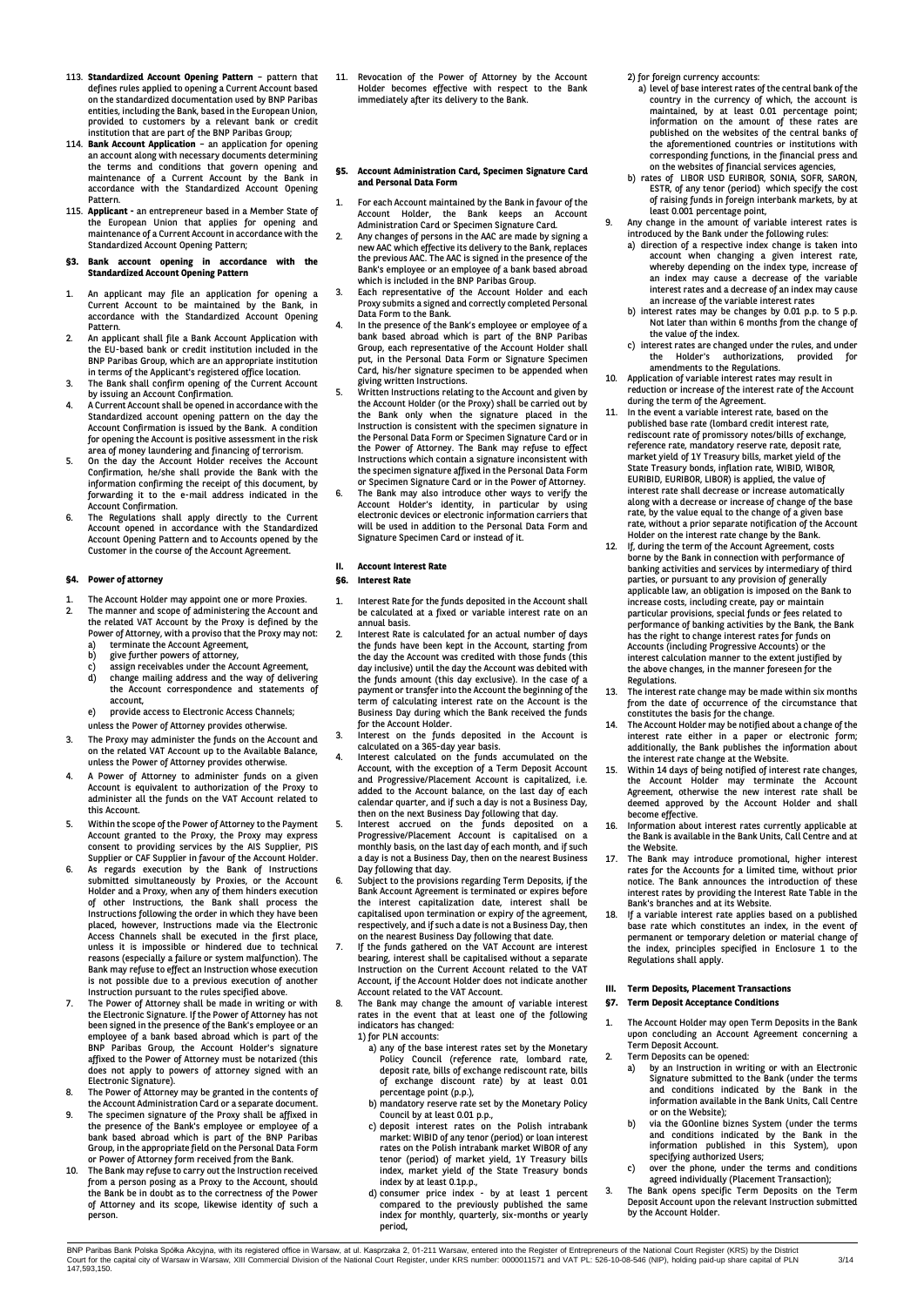- 113. **Standardized Account Opening Pattern** pattern that defines rules applied to opening a Current Account based on the standardized documentation used by BNP Paribas entities, including the Bank, based in the European Union, provided to customers by a relevant bank or credit institution that are part of the BNP Paribas Group;
- 114. **Bank Account Application** an application for opening an account along with necessary documents determining the terms and conditions that govern opening and maintenance of a Current Account by the Bank in accordance with the Standardized Account Opening Pattern.
- 115. **Applicant -** an entrepreneur based in a Member State of the European Union that applies for opening and maintenance of a Current Account in accordance with the Standardized Account Opening Pattern;

#### **§3. Bank account opening in accordance with the Standardized Account Opening Pattern**

- 1. An applicant may file an application for opening a Current Account to be maintained by the Bank, in accordance with the Standardized Account Opening Pattern.
- 2. An applicant shall file a Bank Account Application with the EU-based bank or credit institution included in the BNP Paribas Group, which are an appropriate institution
- in terms of the Applicant's registered office location. 3. The Bank shall confirm opening of the Current Account
- by issuing an Account Confirmation. 4. A Current Account shall be opened in accordance with the Standardized account opening pattern on the day the Account Confirmation is issued by the Bank. A condition for opening the Account is positive assessment in the risk
- area of money laundering and financing of terrorism. 5. On the day the Account Holder receives the Account Confirmation, he/she shall provide the Bank with the information confirming the receipt of this document, by forwarding it to the e-mail address indicated in the Account Confirmation.
- 6. The Regulations shall apply directly to the Current Account opened in accordance with the Standardized Account Opening Pattern and to Accounts opened by the Customer in the course of the Account Agreement.

## **§4. Power of attorney**

- 1. The Account Holder may appoint one or more Proxies. 2. The manner and scope of administering the Account and the related VAT Account by the Proxy is defined by the Power of Attorney, with a proviso that the Proxy may not:
	- a) terminate the Account Agreement,<br>b) give further powers of attorney,
	- b) give further powers of attorney, c) assign receivables under the Account Agreement, d) change mailing address and the way of delivering the Account correspondence and statements of account,
	- e) provide access to Electronic Access Channels;
	- unless the Power of Attorney provides otherwise.
- 3. The Proxy may administer the funds on the Account and on the related VAT Account up to the Available Balance, unless the Power of Attorney provides otherwise.
- 4. A Power of Attorney to administer funds on a given Account is equivalent to authorization of the Proxy to administer all the funds on the VAT Account related to this Account.
- 5. Within the scope of the Power of Attorney to the Payment<br>Account granted to the Proxy, the Proxy may express<br>consent to providing services by the AIS Supplier, PIS<br>Supplier or CAF Supplier in favour of the Account Holde
- Holder and a Proxy, when any of them hinders execution of other Instructions, the Bank shall process the Instructions following the order in which they have been placed, however, Instructions made via the Electronic Access Channels shall be executed in the first place, unless it is impossible or hindered due to technical reasons (especially a failure or system malfunction). The Bank may refuse to effect an Instruction whose execution is not possible due to a previous execution of another Instruction pursuant to the rules specified above.
- 7. The Power of Attorney shall be made in writing or with the Electronic Signature. If the Power of Attorney has not been signed in the presence of the Bank's employee or an employee of a bank based abroad which is part of the BNP Paribas Group, the Account Holder's signature affixed to the Power of Attorney must be notarized (this does not apply to powers of attorney signed with an
- Electronic Signature). 8. The Power of Attorney may be granted in the contents of the Account Administration Card or a separate document. 9. The specimen signature of the Proxy shall be affixed in
- the presence of the Bank's employee or employee of a bank based abroad which is part of the BNP Paribas Group, in the appropriate field on the Personal Data Form
- or Power of Attorney form received from the Bank. 10. The Bank may refuse to carry out the Instruction received from a person posing as a Proxy to the Account, should the Bank be in doubt as to the correctness of the Power of Attorney and its scope, likewise identity of such a person.

11. Revocation of the Power of Attorney by the Account Holder becomes effective with respect to the Bank immediately after its delivery to the Bank.

#### **§5. Account Administration Card, Specimen Signature Card and Personal Data Form**

- 1. For each Account maintained by the Bank in favour of the Account Holder, the Bank keeps an Account Administration Card or Specimen Signature Card.
- 2. Any changes of persons in the AAC are made by signing a new AAC which effective its delivery to the Bank, replaces the previous AAC. The AAC is signed in the presence of the Bank's employee or an employee of a bank based abroad which is included in the BNP Paribas Group.
- 3. Each representative of the Account Holder and each Proxy submits a signed and correctly completed Personal Data Form to the Bank.
- 4. In the presence of the Bank's employee or employee of a bank based abroad which is part of the BNP Paribas Group, each representative of the Account Holder shall put, in the Personal Data Form or Signature Specimen Card, his/her signature specimen to be appended when
- giving written Instructions. 5. Written Instructions relating to the Account and given by the Account Holder (or the Proxy) shall be carried out by the Bank only when the signature placed in the Instruction is consistent with the specimen signature in the Personal Data Form or Specimen Signature Card or in the Power of Attorney. The Bank may refuse to effect Instructions which contain a signature inconsistent with the specimen signature affixed in the Personal Data Form
- or Specimen Signature Card or in the Power of Attorney. 6. The Bank may also introduce other ways to verify the Account Holder's identity, in particular by using electronic devices or electronic information carriers that will be used in addition to the Personal Data Form and Signature Specimen Card or instead of it.

## **II. Account Interest Rate**

#### **§6. Interest Rate**

- 1. Interest Rate for the funds deposited in the Account shall be calculated at a fixed or variable interest rate on an annual basis.
- 2. Interest Rate is calculated for an actual number of days the funds have been kept in the Account, starting from the day the Account was credited with those funds (this day inclusive) until the day the Account was debited with the funds amount (this day exclusive). In the case of a payment or transfer into the Account the beginning of the term of calculating interest rate on the Account is the Business Day during which the Bank received the funds for the Account Holder.
- 3. Interest on the funds deposited in the Account is
- calculated on a 365-day year basis. 4. Interest calculated on the funds accumulated on the Account, with the exception of a Term Deposit Account and Progressive/Placement Account is capitalized, i.e. added to the Account balance, on the last day of each calendar quarter, and if such a day is not a Business Day, then on the next Business Day following that day.
- 5. Interest accrued on the funds deposited on a Progressive/Placement Account is capitalised on a monthly basis, on the last day of each month, and if such a day is not a Business Day, then on the nearest Business Day following that day. 6. Subject to the provisions regarding Term Deposits, if the
- Bank Account Agreement is terminated or expires before the interest capitalization date, interest shall be capitalised upon termination or expiry of the agreement, respectively, and if such a date is not a Business Day, then on the nearest Business Day following that date.
- 7. If the funds gathered on the VAT Account are interest bearing, interest shall be capitalised without a separate Instruction on the Current Account related to the VAT Account, if the Account Holder does not indicate another Account related to the VAT Account.
- 8. The Bank may change the amount of variable interest rates in the event that at least one of the following indicators has changed: 1) for PLN accounts:
	- a) any of the base interest rates set by the Monetary Policy Council (reference rate, lombard rate, deposit rate, bills of exchange rediscount rate, bills of exchange discount rate) by at least 0.01 percentage point (p.p.),
	- b) mandatory reserve rate set by the Monetary Policy
	- Council by at least 0.01 p.p.,<br>c) deposit interest rates on the Polish intrabank<br>market: WIBID of any tenor (period) or loan interest<br>rates on the Polish intrabank market WIBOR of any tenor (period) of market yield, 1Y Treasury bills
	- index, market yield of the State Treasury bonds index by at least 0.1p.p., d) consumer price index by at least 1 percent compared to the previously published the same index for monthly, quarterly, six-months or yearly period,
- 2) for foreign currency accounts:
- a) level of base interest rates of the central bank of the country in the currency of which, the account is<br>minitained, by at least 0.01 percentage point;<br>information on the amount of these rates are<br>published on the websites of the central banks of<br>the aforementioned countries or corresponding functions, in the financial press and on the websites of financial services agencies,
- b) rates of LIBOR USD EURIBOR, SONIA, SOFR, SARON, ESTR, of any tenor (period) which specify the cost of raising funds in foreign interbank markets, by at
- least 0.001 percentage point, 9. Any change in the amount of variable interest rates is
	- introduced by the Bank under the following rules: a) direction of a respective index change is taken into account when changing a given interest rate, whereby depending on the index type, increase of an index may cause a decrease of the variable interest rates and a decrease of an index may cause an increase of the variable interest rates
	- b) interest rates may be changes by 0.01 p.p. to 5 p.p. Not later than within 6 months from the change of the value of the index.
	- c) interest rates are changed under the rules, and under the Holder's authorizations, provided for amendments to the Regulations.
- Application of variable interest rates may result in reduction or increase of the interest rate of the Account
- during the term of the Agreement. 11. In the event a variable interest rate, based on the published base rate (lombard credit interest rate, rediscount rate of promissory notes/bills of exchange, reference rate, mandatory reserve rate, deposit rate, market yield of 1Y Treasury bills, market yield of the State Treasury bonds, inflation rate, WIBID, WIBOR, EURIBID, EURIBOR, LIBOR) is applied, the value of interest rate shall decrease or increase automatically along with a decrease or increase of change of the base rate, by the value equal to the change of a given base rate, without a prior separate notification of the Account Holder on the interest rate change by the Bank.
- 12. If, during the term of the Account Agreement, costs borne by the Bank in connection with performance of banking activities and services by intermediary of third parties, or pursuant to any provision of generally applicable law, an obligation is imposed on the Bank to increase costs, including create, pay or maintain particular provisions, special funds or fees related to performance of banking activities by the Bank, the Bank has the right to change interest rates for funds on Accounts (including Progressive Accounts) or the interest calculation manner to the extent justified by the above changes, in the manner foreseen for the Regulations.
- 13. The interest rate change may be made within six months
- from the date of occurrence of the circumstance that<br>constitutes the basis for the change.<br>14. The Account Holder may be notified about a change of the<br>interest rate either in a paper or electronic form; additionally, the Bank publishes the information about the interest rate change at the Website.
- 15. Within 14 days of being notified of interest rate changes, the Account Holder may terminate the Account Agreement, otherwise the new interest rate shall be deemed approved by the Account Holder and shall become effective.
- 16. Information about interest rates currently applicable at the Bank is available in the Bank Units, Call Centre and at the Website.
- 17. The Bank may introduce promotional, higher interest rates for the Accounts for a limited time, without prior notice. The Bank announces the introduction of these interest rates by providing the Interest Rate Table in the Bank's branches and at its Website.
- 18. If a variable interest rate applies based on a published base rate which constitutes an index, in the event of permanent or temporary deletion or material change of the index, principles specified in Enclosure 1 to the Regulations shall apply.

# **III. Term Deposits, Placement Transactions**

- **§7. Term Deposit Acceptance Conditions**
- 1. The Account Holder may open Term Deposits in the Bank upon concluding an Account Agreement concerning a Term Deposit Account. 2. Term Deposits can be opened:
	-
	- a) by an Instruction in writing or with an Electronic Signature submitted to the Bank (under the terms and conditions indicated by the Bank in the information available in the Bank Units, Call Centre or on the Website);
	- b) via the GOonline biznes System (under the terms and conditions indicated by the Bank in the information published in this System), upon specifying authorized Users; c) over the phone, under the terms and conditions
	- agreed individually (Placement Transaction);
- 3. The Bank opens specific Term Deposits on the Term Deposit Account upon the relevant Instruction submitted by the Account Holder.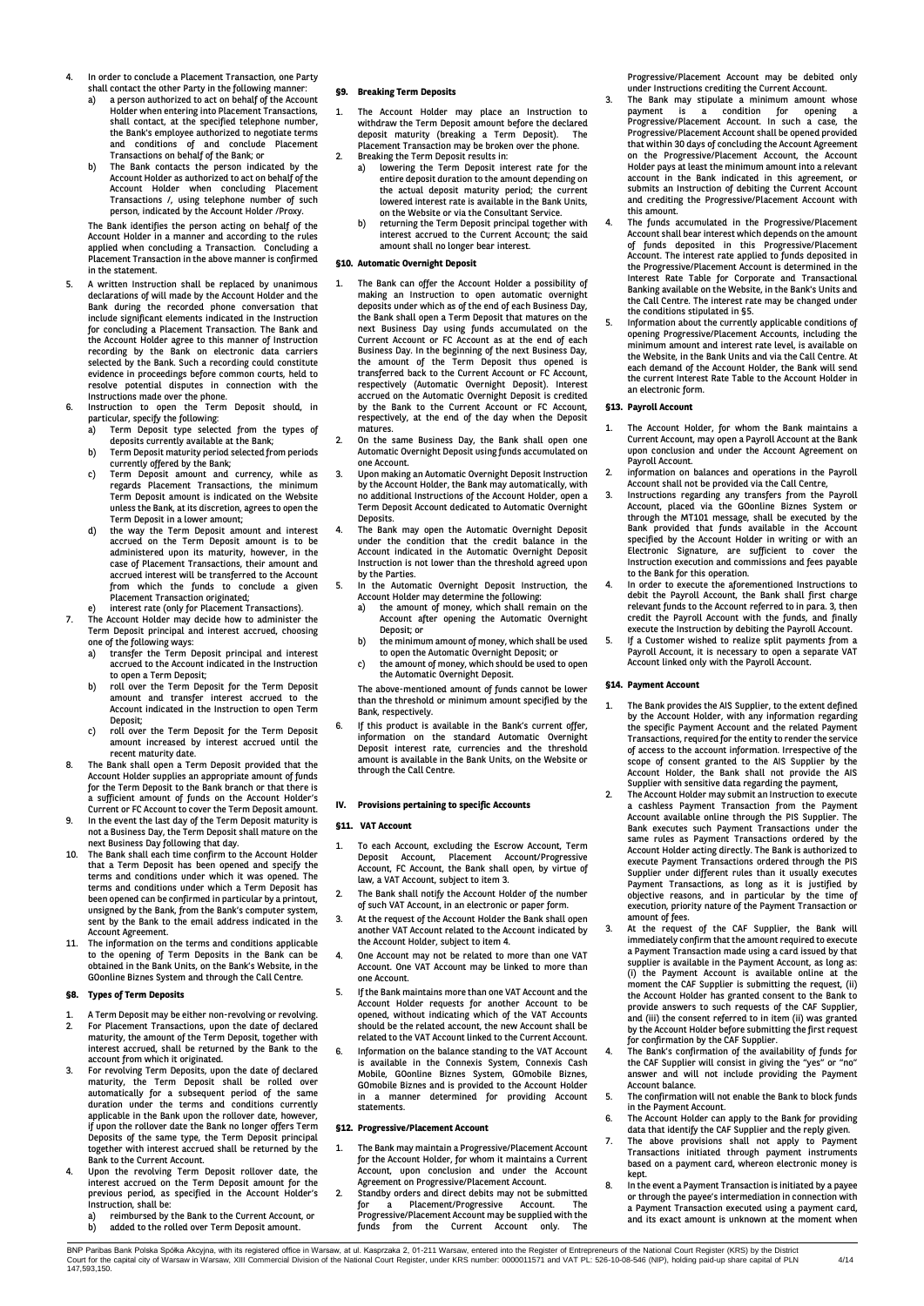- 4. In order to conclude a Placement Transaction, one Party shall contact the other Party in the following manner:
	- a) a person authorized to act on behalf of the Account Holder when entering into Placement Transactions, shall contact, at the specified telephone number, the Bank's employee authorized to negotiate terms and conditions of and conclude Placement
	- Transactions on behalf of the Bank; or b) The Bank contacts the person indicated by the Account Holder as authorized to act on behalf of the Account Holder when concluding Placement Transactions /, using telephone number of such person, indicated by the Account Holder /Proxy.

The Bank identifies the person acting on behalf of the Account Holder in a manner and according to the rules applied when concluding a Transaction. Concluding a Placement Transaction in the above manner is confirmed in the statement.

- 5. A written Instruction shall be replaced by unanimous declarations of will made by the Account Holder and the Bank during the recorded phone conversation that include significant elements indicated in the Instruction for concluding a Placement Transaction. The Bank and the Account Holder agree to this manner of Instruction recording by the Bank on electronic data carriers selected by the Bank. Such a recording could constitute evidence in proceedings before common courts, held to resolve potential disputes in connection with the
- Instructions made over the phone. 6. Instruction to open the Term Deposit should, in particular, specify the following:<br>a) Term Deposit type select
	- a) Term Deposit type selected from the types of deposits currently available at the Bank; b) Term Deposit maturity period selected from periods
	- currently offered by the Bank;
	- c) Term Deposit amount and currency, while as regards Placement Transactions, the minimum Term Deposit amount is indicated on the Website unless the Bank, at its discretion, agrees to open the Term Deposit in a lower amount;
	- the way the Term Deposit amount and interest accrued on the Term Deposit amount is to be administered upon its maturity, however, in the case of Placement Transactions, their amount and accrued interest will be transferred to the Account from which the funds to conclude a given Placement Transaction originated;
- 
- e) interest rate (only for Placement Transactions). 7. The Account Holder may decide how to administer the Term Deposit principal and interest accrued, choosing one of the following ways: a) transfer the Term Deposit principal and interest
	- accrued to the Account indicated in the Instruction to open a Term Deposit;
	- b) roll over the Term Deposit for the Term Deposit amount and transfer interest accrued to the Account indicated in the Instruction to open Term Deposit;
	- c) roll over the Term Deposit for the Term Deposit amount increased by interest accrued until the recent maturity date.
- 8. The Bank shall open a Term Deposit provided that the Account Holder supplies an appropriate amount of funds for the Term Deposit to the Bank branch or that there is a sufficient amount of funds on the Account Holder's Current or FC Account to cover the Term Deposit amount.
- 9. In the event the last day of the Term Deposit maturity is not a Business Day, the Term Deposit shall mature on the next Business Day following that day.
- 10. The Bank shall each time confirm to the Account Holder that a Term Deposit has been opened and specify the terms and conditions under which it was opened. The terms and conditions under which a Term Deposit has been opened can be confirmed in particular by a printout, unsigned by the Bank, from the Bank's computer system, sent by the Bank to the email address indicated in the Account Agreement.
- 11. The information on the terms and conditions applicable to the opening of Term Deposits in the Bank can be obtained in the Bank Units, on the Bank's Website, in the GOonline Biznes System and through the Call Centre.

## **§8. Types of Term Deposits**

- 1. A Term Deposit may be either non-revolving or revolving.<br>2 For Placement Transactions upon the date of declared 2. For Placement Transactions, upon the date of declared maturity, the amount of the Term Deposit, together with interest accrued, shall be returned by the Bank to the account from which it originated.
- 3. For revolving Term Deposits, upon the date of declared maturity, the Term Deposit shall be rolled over automatically for a subsequent period of the same duration under the terms and conditions currently applicable in the Bank upon the rollover date, however, if upon the rollover date the Bank no longer offers Term Deposits of the same type, the Term Deposit principal together with interest accrued shall be returned by the
- Bank to the Current Account. 4. Upon the revolving Term Deposit rollover date, the interest accrued on the Term Deposit amount for the previous period, as specified in the Account Holder's Instruction, shall be:
	- a) reimbursed by the Bank to the Current Account, or b) added to the rolled over Term Deposit amount.

## **§9. Breaking Term Deposits**

- 1. The Account Holder may place an Instruction to withdraw the Term Deposit amount before the declared<br>deposit meturity (broaking a Term Deposit) The deposit maturity (breaking a Term Deposit). Placement Transaction may be broken over the phone.
- 2. Breaking the Term Deposit results in: a) lowering the Term Deposit interest rate for the entire deposit duration to the amount depending on the actual deposit maturity period; the current lowered interest rate is available in the Bank Units, on the Website or via the Consultant Service.
	- b) returning the Term Deposit principal together with interest accrued to the Current Account; the said amount shall no longer bear interest.

#### **§10. Automatic Overnight Deposit**

- The Bank can offer the Account Holder a possibility of making an Instruction to open automatic overnight deposits under which as of the end of each Business Day, the Bank shall open a Term Deposit that matures on the next Business Day using funds accumulated on the Current Account or FC Account as at the end of each Business Day. In the beginning of the next Business Day, the amount of the Term Deposit thus opened is transferred back to the Current Account or FC Account, respectively (Automatic Overnight Deposit). Interest accrued on the Automatic Overnight Deposit is credited by the Bank to the Current Account or FC Account, respectively, at the end of the day when the Deposit matures.
- 2. On the same Business Day, the Bank shall open one Automatic Overnight Deposit using funds accumulated on one Account.
- 3. Upon making an Automatic Overnight Deposit Instruction by the Account Holder, the Bank may automatically, with no additional Instructions of the Account Holder, open a Term Deposit Account dedicated to Automatic Overnight **Deposits**
- 4. The Bank may open the Automatic Overnight Deposit under the condition that the credit balance in the Account indicated in the Automatic Overnight Deposit Instruction is not lower than the threshold agreed upon by the Parties.
- 5. In the Automatic Overnight Deposit Instruction, the Account Holder may determine the following:
	- a) the amount of money, which shall remain on the Account after opening the Automatic Overnight Deposit; or
	- b) the minimum amount of money, which shall be used to open the Automatic Overnight Deposit; or
	- c) the amount of money, which should be used to open the Automatic Overnight Deposit.

The above-mentioned amount of funds cannot be lower than the threshold or minimum amount specified by the Bank, respectively.

6. If this product is available in the Bank's current offer, information on the standard Automatic Overnight Deposit interest rate, currencies and the threshold amount is available in the Bank Units, on the Website or through the Call Centre.

## **IV. Provisions pertaining to specific Accounts**

## **§11. VAT Account**

- 1. To each Account, excluding the Escrow Account, Term Deposit Account, Placement Account/Progressive Account, FC Account, the Bank shall open, by virtue of law, a VAT Account, subject to item 3.
- 2. The Bank shall notify the Account Holder of the number of such VAT Account, in an electronic or paper form.
- 3. At the request of the Account Holder the Bank shall open another VAT Account related to the Account indicated by the Account Holder, subject to item 4.
- 4. One Account may not be related to more than one VAT Account. One VAT Account may be linked to more than one Account.
- 5. If the Bank maintains more than one VAT Account and the Account Holder requests for another Account to be opened, without indicating which of the VAT Accounts should be the related account, the new Account shall be related to the VAT Account linked to the Current Account.
- 6. Information on the balance standing to the VAT Account is available in the Connexis System, Connexis Cash Mobile, GOonline Biznes System, GOmobile Biznes, GOmobile Biznes and is provided to the Account Holder a manner determined for providing Account statements.

## **§12. Progressive/Placement Account**

- The Bank may maintain a Progressive/Placement Account for the Account Holder, for whom it maintains a Current Account, upon conclusion and under the Account Agreement on Progressive/Placement Account.
- 2. Standby orders and direct debits may not be submitted for a Placement/Progressive Account. The Progressive/Placement Account may be supplied with the funds from the Current Account only. The

Progressive/Placement Account may be debited only under Instructions crediting the Current Account.

- The Bank may stipulate a minimum amount whose payment is a condition for opening a Progressive/Placement Account. In such a case, the Progressive/Placement Account shall be opened provided that within 30 days of concluding the Account Agreement on the Progressive/Placement Account, the Account Holder pays at least the minimum amount into a relevant account in the Bank indicated in this agreement, or submits an Instruction of debiting the Current Account and crediting the Progressive/Placement Account with this amount.
- 4. The funds accumulated in the Progressive/Placement Account shall bear interest which depends on the amount of funds deposited in this Progressive/Placement Account. The interest rate applied to funds deposited in the Progressive/Placement Account is determined in the Interest Rate Table for Corporate and Transactional Banking available on the Website, in the Bank's Units and the Call Centre. The interest rate may be changed under the conditions stipulated in §5.
- 5. Information about the currently applicable conditions of opening Progressive/Placement Accounts, including the minimum amount and interest rate level, is available on the Website, in the Bank Units and via the Call Centre. At each demand of the Account Holder, the Bank will send the current Interest Rate Table to the Account Holder in an electronic form.

#### **§13. Payroll Account**

- 1. The Account Holder, for whom the Bank maintains a Current Account, may open a Payroll Account at the Bank upon conclusion and under the Account Agreement on Payroll Account.
- 2. information on balances and operations in the Payroll Account shall not be provided via the Call Centre,
- 3. Instructions regarding any transfers from the Payroll Account, placed via the GOonline Biznes System or through the MT101 message, shall be executed by the Bank provided that funds available in the Account specified by the Account Holder in writing or with an Electronic Signature, are sufficient to cover the Instruction execution and commissions and fees payable
- to the Bank for this operation. 4. In order to execute the aforementioned Instructions to debit the Payroll Account, the Bank shall first charge relevant funds to the Account referred to in para. 3, then credit the Payroll Account with the funds, and finally execute the Instruction by debiting the Payroll Account. 5. If a Customer wished to realize split payments from a
- Payroll Account, it is necessary to open a separate VAT Account linked only with the Payroll Account.

#### **§14. Payment Account**

- 1. The Bank provides the AIS Supplier, to the extent defined by the Account Holder, with any information regarding the specific Payment Account and the related Payment Transactions, required for the entity to render the service of access to the account information. Irrespective of the scope of consent granted to the AIS Supplier by the Account Holder, the Bank shall not provide the AIS Supplier with sensitive data regarding the payment,
- 2. The Account Holder may submit an Instruction to execute a cashless Payment Transaction from the Payment Account available online through the PIS Supplier. The Bank executes such Payment Transactions under the same rules as Payment Transactions ordered by the Account Holder acting directly. The Bank is authorized to execute Payment Transactions ordered through the PIS Supplier under different rules than it usually executes Payment Transactions, as long as it is justified by objective reasons, and in particular by the time of execution, priority nature of the Payment Transaction or amount of fees.
- 3. At the request of the CAF Supplier, the Bank will immediately confirm that the amount required to execute a Payment Transaction made using a card issued by that supplier is available in the Payment Account, as long as: (i) the Payment Account is available online at the moment the CAF Supplier is submitting the request, (ii) the Account Holder has granted consent to the Bank to provide answers to such requests of the CAF Supplier, and (iii) the consent referred to in item (ii) was granted by the Account Holder before submitting the first request
- for confirmation by the CAF Supplier.<br>4. The Bank's confirmation of the availability of funds for<br>the CAF Supplier will consist in giving the "yes" or "no"<br>answer and will not include providing the Payment Account balance.
- The confirmation will not enable the Bank to block funds in the Payment Account.
- 6. The Account Holder can apply to the Bank for providing data that identify the CAF Supplier and the reply given. 7. The above provisions shall not apply to Payment
- Transactions initiated through payment instruments based on a payment card, whereon electronic money is
- kept. 8. In the event a Payment Transaction is initiated by a payee or through the payee's intermediation in connection with a Payment Transaction executed using a payment card, and its exact amount is unknown at the moment when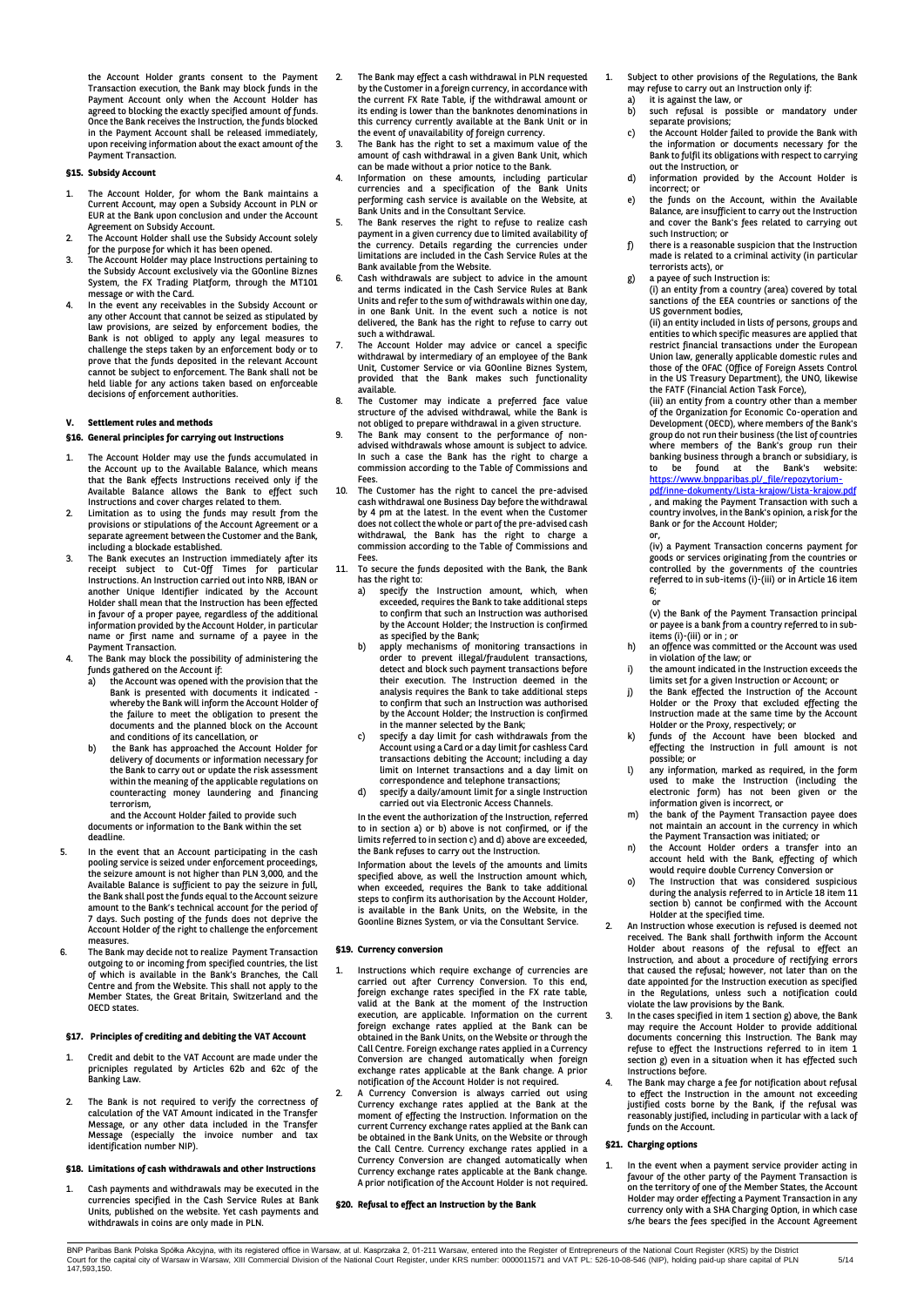the Account Holder grants consent to the Payment Transaction execution, the Bank may block funds in the Payment Account only when the Account Holder has agreed to blocking the exactly specified amount of funds. Once the Bank receives the Instruction, the funds blocked in the Payment Account shall be released immediately, upon receiving information about the exact amount of the Payment Transaction.

#### **§15. Subsidy Account**

- 1. The Account Holder, for whom the Bank maintains a Current Account, may open a Subsidy Account in PLN or EUR at the Bank upon conclusion and under the Account Agreement on Subsidy Account.
- 2. The Account Holder shall use the Subsidy Account solely for the purpose for which it has been opened.
- 3. The Account Holder may place Instructions pertaining to the Subsidy Account exclusively via the GOonline Biznes System, the FX Trading Platform, through the MT101 message or with the Card.
- 4. In the event any receivables in the Subsidy Account or any other Account that cannot be seized as stipulated by law provisions, are seized by enforcement bodies, the Bank is not obliged to apply any legal measures to challenge the steps taken by an enforcement body or to prove that the funds deposited in the relevant Account cannot be subject to enforcement. The Bank shall not be held liable for any actions taken based on enforceable decisions of enforcement authorities.

#### **V. Settlement rules and methods**

#### **§16. General principles for carrying out Instructions**

- 1. The Account Holder may use the funds accumulated in the Account up to the Available Balance, which means that the Bank effects Instructions received only if the Available Balance allows the Bank to effect such Instructions and cover charges related to them.
- 2. Limitation as to using the funds may result from the provisions or stipulations of the Account Agreement or a separate agreement between the Customer and the Bank, including a blockade established.
- 3. The Bank executes an Instruction immediately after its receipt subject to Cut-Off Times for particular<br>Instructions An<code>Instruction</code> carried<code>out</code> into<code>NRB,</code> IBAN<code>or</code> another Unique Identifier indicated by the Account Holder shall mean that the Instruction has been effected in favour of a proper payee, regardless of the additional information provided by the Account Holder, in particular name or first name and surname of a payee in the
- Payment Transaction. 4. The Bank may block the possibility of administering the funds gathered on the Account if:
	- a) the Account was opened with the provision that the Bank is presented with documents it indicated whereby the Bank will inform the Account Holder of the failure to meet the obligation to present the documents and the planned block on the Account and conditions of its cancellation, or
	- b) the Bank has approached the Account Holder for delivery of documents or information necessary for the Bank to carry out or update the risk assessment within the meaning of the applicable regulations on counteracting money laundering and financing terrorism,

 and the Account Holder failed to provide such documents or information to the Bank within the set deadline.

- 5. In the event that an Account participating in the cash pooling service is seized under enforcement proceedings, the seizure amount is not higher than PLN 3,000, and the Available Balance is sufficient to pay the seizure in full, the Bank shall post the funds equal to the Account seizure amount to the Bank's technical account for the period of 7 days. Such posting of the funds does not deprive the Account Holder of the right to challenge the enforcement measures.
- 6. The Bank may decide not to realize Payment Transaction outgoing to or incoming from specified countries, the list of which is available in the Bank's Branches, the Call Centre and from the Website. This shall not apply to the Member States, the Great Britain, Switzerland and the OECD states.

#### **§17. Principles of crediting and debiting the VAT Account**

- 1. Credit and debit to the VAT Account are made under the pricniples regulated by Articles 62b and 62c of the Banking Law.
- 2. The Bank is not required to verify the correctness of calculation of the VAT Amount indicated in the Transfer Message, or any other data included in the Transfer Message (especially the invoice number and tax identification number NIP).

#### **§18. Limitations of cash withdrawals and other Instructions**

Cash payments and withdrawals may be executed in the currencies specified in the Cash Service Rules at Bank Units, published on the website. Yet cash payments and withdrawals in coins are only made in PLN.

- The Bank may effect a cash withdrawal in PLN requested by the Customer in a foreign currency, in accordance with the current FX Rate Table, if the withdrawal amount or its ending is lower than the banknotes denominations in this currency currently available at the Bank Unit or in the event of unavailability of foreign currency. 3. The Bank has the right to set a maximum value of the
- amount of cash withdrawal in a given Bank Unit, which can be made without a prior notice to the Bank.
- 4. Information on these amounts, including particular currencies and a specification of the Bank Units performing cash service is available on the Website, at
- Bank Units and in the Consultant Service. 5. The Bank reserves the right to refuse to realize cash payment in a given currency due to limited availability of the currency. Details regarding the currencies under limitations are included in the Cash Service Rules at the
- Bank available from the Website. 6. Cash withdrawals are subject to advice in the amount and terms indicated in the Cash Service Rules at Bank Units and refer to the sum of withdrawals within one day, in one Bank Unit. In the event such a notice is not delivered, the Bank has the right to refuse to carry out such a withdrawal.
- 7. The Account Holder may advice or cancel a specific withdrawal by intermediary of an employee of the Bank Unit, Customer Service or via GOonline Biznes System, provided that the Bank makes such functionality available.
- 8. The Customer may indicate a preferred face value structure of the advised withdrawal, while the Bank is not obliged to prepare withdrawal in a given structure.
- The Bank may consent to the performance of nonadvised withdrawals whose amount is subject to advice. In such a case the Bank has the right to charge a commission according to the Table of Commissions and Fees.
- 10. The Customer has the right to cancel the pre-advised cash withdrawal one Business Day before the withdrawal by 4 pm at the latest. In the event when the Customer does not collect the whole or part of the pre-advised cash withdrawal, the Bank has the right to charge a commission according to the Table of Commissions and Fees.
- 11. To secure the funds deposited with the Bank, the Bank has the right to:<br>a) specify the
	- a) specify the Instruction amount, which, when exceeded, requires the Bank to take additional steps to confirm that such an Instruction was authorised by the Account Holder; the Instruction is confirmed as specified by the Bank;
	- b) apply mechanisms of monitoring transactions in order to prevent illegal/fraudulent transactions, detect and block such payment transactions before their execution. The Instruction deemed in the analysis requires the Bank to take additional steps to confirm that such an Instruction was authorised by the Account Holder; the Instruction is confirmed
	- in the manner selected by the Bank; c) specify a day limit for cash withdrawals from the Account using a Card or a day limit for cashless Card transactions debiting the Account; including a day limit on Internet transactions and a day limit on correspondence and telephone transactions;
	- d) specify a daily/amount limit for a single Instruction carried out via Electronic Access Channels.

In the event the authorization of the Instruction, referred to in section a) or b) above is not confirmed, or if the limits referred to in section c) and d) above are exceeded, the Bank refuses to carry out the Instruction.

Information about the levels of the amounts and limits specified above, as well the Instruction amount which, when exceeded, requires the Bank to take additional steps to confirm its authorisation by the Account Holder, is available in the Bank Units, on the Website, in the Goonline Biznes System, or via the Consultant Service.

#### **§19. Currency conversion**

- Instructions which require exchange of currencies are carried out after Currency Conversion. To this end, foreign exchange rates specified in the FX rate table, valid at the Bank at the moment of the Instruction execution, are applicable. Information on the current foreign exchange rates applied at the Bank can be obtained in the Bank Units, on the Website or through the Call Centre. Foreign exchange rates applied in a Currency Conversion are changed automatically when foreign exchange rates applicable at the Bank change. A prior notification of the Account Holder is not required.
- 2. A Currency Conversion is always carried out using Currency exchange rates applied at the Bank at the moment of effecting the Instruction. Information on the current Currency exchange rates applied at the Bank can be obtained in the Bank Units, on the Website or through the Call Centre. Currency exchange rates applied in a Currency Conversion are changed automatically when Currency exchange rates applicable at the Bank change. A prior notification of the Account Holder is not required.

## **§20. Refusal to effect an Instruction by the Bank**

- Subject to other provisions of the Regulations, the Bank may refuse to carry out an Instruction only if:
	- a) it is against the law, or b) such refusal is possible or mandatory under separate provisions;
	- c) the Account Holder failed to provide the Bank with the information or documents necessary for the Bank to fulfil its obligations with respect to carrying out the Instruction, or
	- d) information provided by the Account Holder is incorrect; or
	- e) the funds on the Account, within the Available Balance, are insufficient to carry out the Instruction and cover the Bank's fees related to carrying out
	- such Instruction; or f) there is a reasonable suspicion that the Instruction made is related to a criminal activity (in particular terrorists acts), or
	- a payee of such Instruction is:

(i) an entity from a country (area) covered by total sanctions of the EEA countries or sanctions of the

US government bodies, (ii) an entity included in lists of persons, groups and entities to which specific measures are applied that restrict financial transactions under the European Union law, generally applicable domestic rules and those of the OFAC (Office of Foreign Assets Control in the US Treasury Department), the UNO, likewise the FATF (Financial Action Task Force),

(iii) an entity from a country other than a member of the Organization for Economic Co-operation and Development (OECD), where members of the Bank's group do not run their business (the list of countries where members of the Bank's group run their banking business through a branch or subsidiary, is to be found at the Bank's website:<br>[https://www.bnpparibas.pl/\\_file/repozytorium-](https://www.bnpparibas.pl/_file/repozytorium-pdf/inne-dokumenty/Lista-krajow/Lista-krajow.pdf)

[pdf/inne-dokumenty/Lista-krajow/Lista-krajow.pdf](https://www.bnpparibas.pl/_file/repozytorium-pdf/inne-dokumenty/Lista-krajow/Lista-krajow.pdf)  , and making the Payment Transaction with such a country involves, in the Bank's opinion, a risk for the Bank or for the Account Holder;

or, (iv) a Payment Transaction concerns payment for goods or services originating from the countries or controlled by the governments of the countries referred to in sub-items (i)-(iii) or in Article 16 item 6;

or

(v) the Bank of the Payment Transaction principal or payee is a bank from a country referred to in subitems (i)-(iii) or in ; or

- 
- h) an offence was committed or the Account was used in violation of the law; or i) the amount indicated in the Instruction exceeds the limits set for a given Instruction or Account; or
- j) the Bank effected the Instruction of the Account Holder or the Proxy that excluded effecting the Instruction made at the same time by the Account
- Holder or the Proxy, respectively; or k) funds of the Account have been blocked and effecting the Instruction in full amount is not possible; or
- l) any information, marked as required, in the form used to make the Instruction (including the electronic form) has not been given or the
- information given is incorrect, or m) the bank of the Payment Transaction payee does not maintain an account in the currency in which the Payment Transaction was initiated; or
- the Account Holder orders a transfer into an account held with the Bank, effecting of which would require double Currency Conversion or
- o) The Instruction that was considered suspicious during the analysis referred to in Article 18 item 11 section b) cannot be confirmed with the Account Holder at the specified time.
- 2. An Instruction whose execution is refused is deemed not received. The Bank shall forthwith inform the Account Holder about reasons of the refusal to effect an Instruction, and about a procedure of rectifying errors that caused the refusal; however, not later than on the date appointed for the Instruction execution as specified in the Regulations, unless such a notification could
- violate the law provisions by the Bank. 3. In the cases specified in item 1 section g) above, the Bank may require the Account Holder to provide additional documents concerning this Instruction. The Bank may refuse to effect the Instructions referred to in item 1 section g) even in a situation when it has effected such Instructions before.
- 4. The Bank may charge a fee for notification about refusal to effect the Instruction in the amount not exceeding justified costs borne by the Bank, if the refusal was reasonably justified, including in particular with a lack of funds on the Account.

## **§21. Charging options**

1. In the event when a payment service provider acting in favour of the other party of the Payment Transaction is on the territory of one of the Member States, the Account Holder may order effecting a Payment Transaction in any currency only with a SHA Charging Option, in which case s/he bears the fees specified in the Account Agreement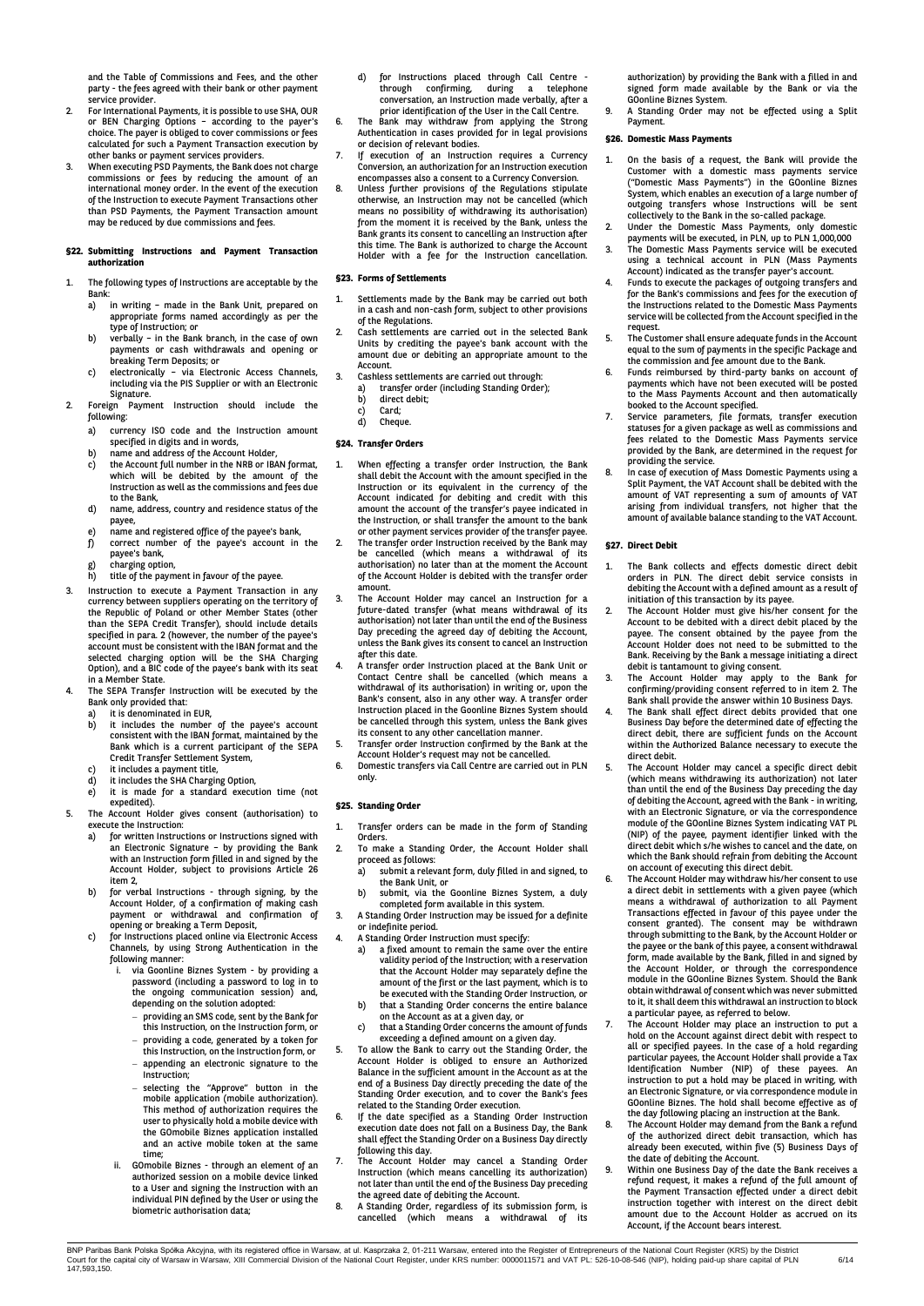and the Table of Commissions and Fees, and the other party - the fees agreed with their bank or other payment

- service provider. 2. For International Payments, it is possible to use SHA, OUR or BEN Charging Options – according to the payer's choice. The payer is obliged to cover commissions or fees calculated for such a Payment Transaction execution by
- other banks or payment services providers. 3. When executing PSD Payments, the Bank does not charge commissions or fees by reducing the amount of an international money order. In the event of the execution of the Instruction to execute Payment Transactions other than PSD Payments, the Payment Transaction amount may be reduced by due commissions and fees.

#### **§22. Submitting Instructions and Payment Transaction authorization**

- The following types of Instructions are acceptable by the Bank:
	- a) in writing made in the Bank Unit, prepared on appropriate forms named accordingly as per the type of Instruction; or
	- b) verbally in the Bank branch, in the case of own payments or cash withdrawals and opening or breaking Term Deposits; or
- c) electronically via Electronic Access Channels, including via the PIS Supplier or with an Electronic Signature.
- 2. Foreign Payment Instruction should include the following:
	- a) currency ISO code and the Instruction amount specified in digits and in words,
	- b) name and address of the Account Holder,<br>c) the Account full number in the NRB or IB
	- the Account full number in the NRB or IBAN format, which will be debited by the amount of the Instruction as well as the commissions and fees due to the Bank,
	- d) name, address, country and residence status of the payee,
	- e) name and registered office of the payee's bank, f) correct number of the payee's account in the
	- payee's bank,
	- g) charging option, h) title of the payment in favour of the payee.
- 3. Instruction to execute a Payment Transaction in any currency between suppliers operating on the territory of the Republic of Poland or other Member States (other than the SEPA Credit Transfer), should include details specified in para. 2 (however, the number of the payee's account must be consistent with the IBAN format and the selected charging option will be the SHA Charging Option), and a BIC code of the payee's bank with its seat in a Member State.
- 4. The SEPA Transfer Instruction will be executed by the
	- Bank only provided that:<br>a) it is denominated in
	- a) it is denominated in EUR,<br>b) it includes the number it includes the number of the payee's account consistent with the IBAN format, maintained by the Bank which is a current participant of the SEPA Credit Transfer Settlement System,
	- c) it includes a payment title, d) it includes the SHA Charging Option,
	- e) it is made for a standard execution time (not
	- expedited).
- 5. The Account Holder gives consent (authorisation) to execute the Instruction:<br>a) for written Instru for written Instructions or Instructions signed with
	- an Electronic Signature by providing the Bank with an Instruction form filled in and signed by the Account Holder, subject to provisions Article 26 item 2,
	- b) for verbal Instructions through signing, by the Account Holder, of a confirmation of making cash payment or withdrawal and confirmation of
	- opening or breaking a Term Deposit, c) for Instructions placed online via Electronic Access Channels, by using Strong Authentication in the
		- following manner: i. via Goonline Biznes System by providing a password (including a password to log in to the ongoing communication session) and, depending on the solution adopted:
			- providing an SMS code, sent by the Bank for this Instruction, on the Instruction form, or
			- providing a code, generated by a token for this Instruction, on the Instruction form, or appending an electronic signature to the
			- Instruction;
			- selecting the "Approve" button in the mobile application (mobile authorization). This method of authorization requires the user to physically hold a mobile device with the GOmobile Biznes application installed and an active mobile token at the same time;
		- ii. GOmobile Biznes through an element of an authorized session on a mobile device linked to a User and signing the Instruction with an individual PIN defined by the User or using the biometric authorisation data;
- d) for Instructions placed through Call Centre through confirming, during a telephone conversation, an Instruction made verbally, after a prior identification of the User in the Call Centre.
- 6. The Bank may withdraw from applying the Strong Authentication in cases provided for in legal provisions or decision of relevant bodies.
- 7. If execution of an Instruction requires a Currency Conversion, an authorization for an Instruction execution
- encompasses also a consent to a Currency Conversion. 8. Unless further provisions of the Regulations stipulate otherwise, an Instruction may not be cancelled (which means no possibility of withdrawing its authorisation) from the moment it is received by the Bank, unless the Bank grants its consent to cancelling an Instruction after this time. The Bank is authorized to charge the Account Holder with a fee for the Instruction cancellation.

## **§23. Forms of Settlements**

- 1. Settlements made by the Bank may be carried out both in a cash and non-cash form, subject to other provisions of the Regulations.
- 2. Cash settlements are carried out in the selected Bank Units by crediting the payee's bank account with the amount due or debiting an appropriate amount to the Account.
- 3. Cashless settlements are carried out through: a) transfer order (including Standing Order);<br>b) direct debit; direct debit;
	- c) Card;<br>d) Chequ
	- Cheque

## **§24. Transfer Orders**

- 1. When effecting a transfer order Instruction, the Bank shall debit the Account with the amount specified in the Instruction or its equivalent in the currency of the Account indicated for debiting and credit with this amount the account of the transfer's payee indicated in the Instruction, or shall transfer the amount to the bank or other payment services provider of the transfer payee.
- 2. The transfer order Instruction received by the Bank may be cancelled (which means a withdrawal of its authorisation) no later than at the moment the Account of the Account Holder is debited with the transfer order amount.
- 3. The Account Holder may cancel an Instruction for a future-dated transfer (what means withdrawal of its authorisation) not later than until the end of the Business Day preceding the agreed day of debiting the Account, unless the Bank gives its consent to cancel an Instruction after this date.
- 4. A transfer order Instruction placed at the Bank Unit or Contact Centre shall be cancelled (which means a withdrawal of its authorisation) in writing or, upon the Bank's consent, also in any other way. A transfer order Instruction placed in the Goonline Biznes System should be cancelled through this system, unless the Bank gives its consent to any other cancellation manner.
- 5. Transfer order Instruction confirmed by the Bank at the Account Holder's request may not be cancelled.
- 6. Domestic transfers via Call Centre are carried out in PLN only.

## **§25. Standing Order**

- Transfer orders can be made in the form of Standing Orders.
- 2. To make a Standing Order, the Account Holder shall proceed as follows:<br>a) submit a releve
	- submit a relevant form, duly filled in and signed, to the Bank Unit, or b) submit, via the Goonline Biznes System, a duly
- completed form available in this system. 3. A Standing Order Instruction may be issued for a definite
- or indefinite period.
- 4. A Standing Order Instruction must specify: a) a fixed amount to remain the same over the entire
	- validity period of the Instruction; with a reservation that the Account Holder may separately define the amount of the first or the last payment, which is to
	- be executed with the Standing Order Instruction, or b) that a Standing Order concerns the entire balance on the Account as at a given day, or c) that a Standing Order concerns the amount of funds
	-
- exceeding a defined amount on a given day. 5. To allow the Bank to carry out the Standing Order, the Account Holder is obliged to ensure an Authorized Balance in the sufficient amount in the Account as at the end of a Business Day directly preceding the date of the Standing Order execution, and to cover the Bank's fees related to the Standing Order execution.
- 6. If the date specified as a Standing Order Instruction execution date does not fall on a Business Day, the Bank shall effect the Standing Order on a Business Day directly following this day.
- The Account Holder may cancel a Standing Order Instruction (which means cancelling its authorization) not later than until the end of the Business Day preceding the agreed date of debiting the Account.
- 8. A Standing Order, regardless of its submission form, is<br>cancelled (which means a withdrawal of its  $c$ ancelled (which means a withdrawal

authorization) by providing the Bank with a filled in and signed form made available by the Bank or via the GOonline Biznes System.

9. A Standing Order may not be effected using a Split Payment.

## **§26. Domestic Mass Payments**

- 1. On the basis of a request, the Bank will provide the Customer with a domestic mass payments service ("Domestic Mass Payments") in the GOonline Biznes System, which enables an execution of a large number of outgoing transfers whose Instructions will be sent collectively to the Bank in the so-called package.
- 2. Under the Domestic Mass Payments, only domestic
- payments will be executed, in PLN, up to PLN 1,000,000 3. The Domestic Mass Payments service will be executed using a technical account in PLN (Mass Payments Account) indicated as the transfer payer's account.
- 4. Funds to execute the packages of outgoing transfers and for the Bank's commissions and fees for the execution of the Instructions related to the Domestic Mass Payments service will be collected from the Account specified in the request.
- The Customer shall ensure adequate funds in the Account equal to the sum of payments in the specific Package and the commission and fee amount due to the Bank.
- 6. Funds reimbursed by third-party banks on account of payments which have not been executed will be posted to the Mass Payments Account and then automatically booked to the Account specified.
- Service parameters, file formats, transfer execution statuses for a given package as well as commissions and fees related to the Domestic Mass Payments service provided by the Bank, are determined in the request for providing the service.
- 8. In case of execution of Mass Domestic Payments using a Split Payment, the VAT Account shall be debited with the amount of VAT representing a sum of amounts of VAT arising from individual transfers, not higher that the amount of available balance standing to the VAT Account.

## **§27. Direct Debit**

- 1. The Bank collects and effects domestic direct debit orders in PLN. The direct debit service consists in debiting the Account with a defined amount as a result of initiation of this transaction by its payee.
- The Account Holder must give his/her consent for the Account to be debited with a direct debit placed by the payee. The consent obtained by the payee from the Account Holder does not need to be submitted to the
- Bank. Receiving by the Bank a message initiating a direct<br>debit is tantamount to giving consent.<br>3. The Account Holder may apply to the Bank for<br>confirming/providing consent referred to in item 2. The<br>Bank shall provide th
- 4. The Bank shall effect direct debits provided that one Business Day before the determined date of effecting the direct debit, there are sufficient funds on the Account within the Authorized Balance necessary to execute the direct debit.
- 5. The Account Holder may cancel a specific direct debit (which means withdrawing its authorization) not later than until the end of the Business Day preceding the day of debiting the Account, agreed with the Bank - in writing, with an Electronic Signature, or via the correspondence module of the GOonline Biznes System indicating VAT PL (NIP) of the payee, payment identifier linked with the direct debit which s/he wishes to cancel and the date, on which the Bank should refrain from debiting the Account on account of executing this direct debit.
- 6. The Account Holder may withdraw his/her consent to use a direct debit in settlements with a given payee (which means a withdrawal of authorization to all Payment Transactions effected in favour of this payee under the consent granted). The consent may be withdrawn through submitting to the Bank, by the Account Holder or the payee or the bank of this payee, a consent withdrawal form, made available by the Bank, filled in and signed by the Account Holder, or through the correspondence module in the GOonline Biznes System. Should the Bank obtain withdrawal of consent which was never submitted to it, it shall deem this withdrawal an instruction to block a particular payee, as referred to below.
- 7. The Account Holder may place an instruction to put a hold on the Account against direct debit with respect to all or specified payees. In the case of a hold regarding particular payees, the Account Holder shall provide a Tax Identification Number (NIP) of these payees. An instruction to put a hold may be placed in writing, with an Electronic Signature, or via correspondence module in GOonline Biznes. The hold shall become effective as of the day following placing an instruction at the Bank.
- 8. The Account Holder may demand from the Bank a refund of the authorized direct debit transaction, which has already been executed, within five (5) Business Days of the date of debiting the Account.
- 9. Within one Business Day of the date the Bank receives a refund request, it makes a refund of the full amount of the Payment Transaction effected under a direct debit instruction together with interest on the direct debit amount due to the Account Holder as accrued on its Account, if the Account bears interest.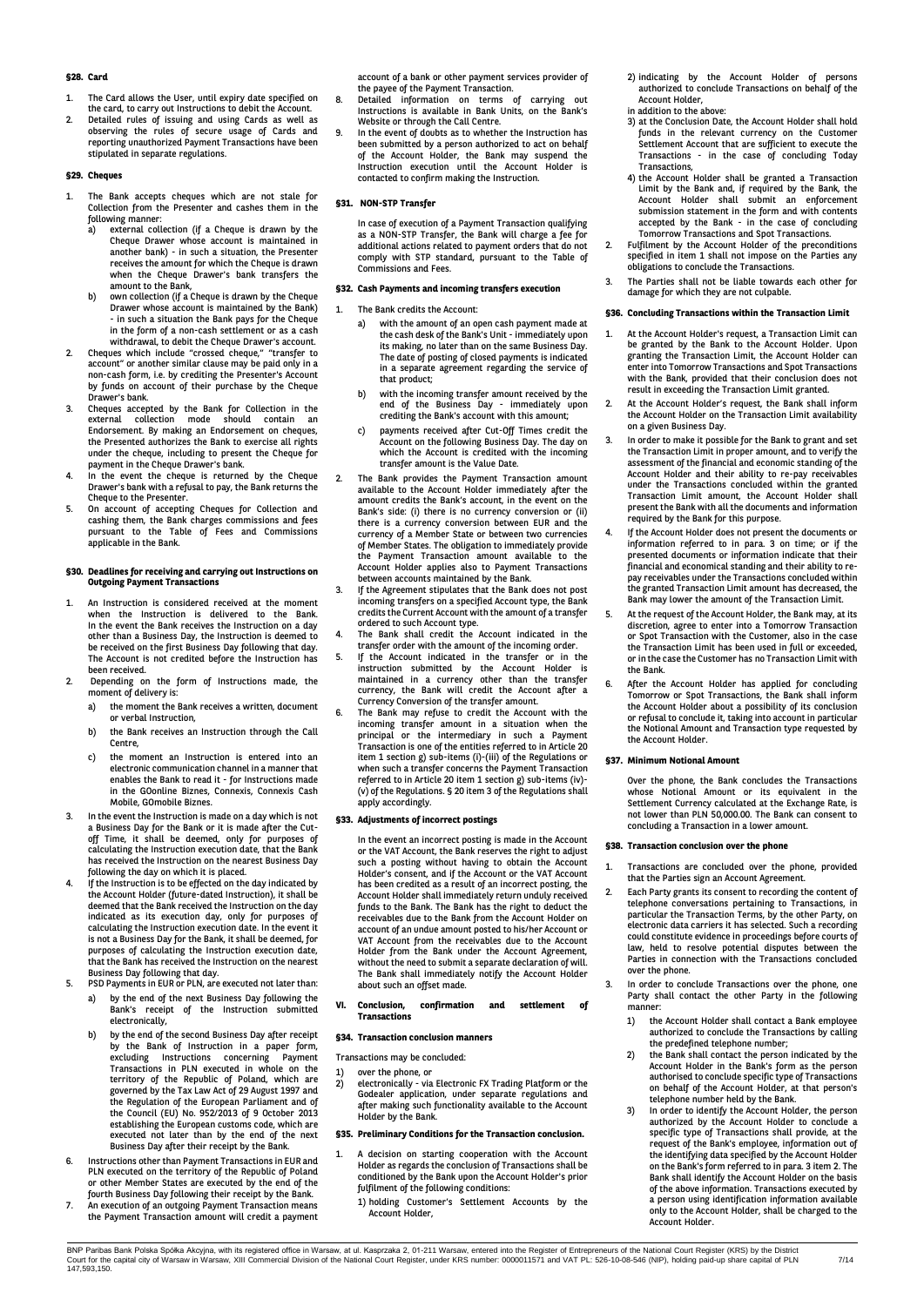## **§28. Card**

- 1. The Card allows the User, until expiry date specified on the card, to carry out Instructions to debit the Account.
- 2. Detailed rules of issuing and using Cards as well as observing the rules of secure usage of Cards and reporting unauthorized Payment Transactions have been stipulated in separate regulations.

## **§29. Cheques**

- 1. The Bank accepts cheques which are not stale for Collection from the Presenter and cashes them in the following manner:<br>a) external coll
	- external collection (if a Cheque is drawn by the Cheque Drawer whose account is maintained in another bank) - in such a situation, the Presenter receives the amount for which the Cheque is drawn when the Cheque Drawer's bank transfers the amount to the Bank,
	- b) own collection (if a Cheque is drawn by the Cheque Drawer whose account is maintained by the Bank) - in such a situation the Bank pays for the Cheque in the form of a non-cash settlement or as a cash
- withdrawal, to debit the Cheque Drawer's account. 2. Cheques which include "crossed cheque," "transfer to account" or another similar clause may be paid only in a non-cash form, i.e. by crediting the Presenter's Account by funds on account of their purchase by the Cheque Drawer's bank.
- 3. Cheques accepted by the Bank for Collection in the external collection mode should contain an Endorsement. By making an Endorsement on cheques, the Presented authorizes the Bank to exercise all rights under the cheque, including to present the Cheque for
- payment in the Cheque Drawer's bank. 4. In the event the cheque is returned by the Cheque Drawer's bank with a refusal to pay, the Bank returns the
- Cheque to the Presenter. 5. On account of accepting Cheques for Collection and cashing them, the Bank charges commissions and fees pursuant to the Table of Fees and Commissions .<br>applicable in the Bank.

## **§30. Deadlines for receiving and carrying out Instructions on Outgoing Payment Transactions**

- 1. An Instruction is considered received at the moment when the Instruction is delivered to the Bank. In the event the Bank receives the Instruction on a day other than a Business Day, the Instruction is deemed to be received on the first Business Day following that day. The Account is not credited before the Instruction has been received.
- 2. Depending on the form of Instructions made, the moment of delivery is:
	- a) the moment the Bank receives a written, document or verbal Instruction,
	- b) the Bank receives an Instruction through the Call Centre,
	- c) the moment an Instruction is entered into an electronic communication channel in a manner that enables the Bank to read it - for Instructions made in the GOonline Biznes, Connexis, Connexis Cash Mobile, GOmobile Biznes.
- 3. In the event the Instruction is made on a day which is not a Business Day for the Bank or it is made after the Cutoff Time, it shall be deemed, only for purposes of calculating the Instruction execution date, that the Bank has received the Instruction on the nearest Business Day following the day on which it is placed.
- 4. If the Instruction is to be effected on the day indicated by the Account Holder (future-dated Instruction), it shall be deemed that the Bank received the Instruction on the day indicated as its execution day, only for purposes of calculating the Instruction execution date. In the event it is not a Business Day for the Bank, it shall be deemed, for purposes of calculating the Instruction execution date, that the Bank has received the Instruction on the nearest Business Day following that day.
- 5. PSD Payments in EUR or PLN, are executed not later than: a) by the end of the next Business Day following the Bank's receipt of the Instruction submitted electronically,
	- b) by the end of the second Business Day after receipt by the Bank of Instruction in a paper form, excluding Instructions concerning Payment Transactions in PLN executed in whole on the territory of the Republic of Poland, which are governed by the Tax Law Act of 29 August 1997 and the Regulation of the European Parliament and of the Council (EU) No. 952/2013 of 9 October 2013 establishing the European customs code, which are executed not later than by the end of the next Business Day after their receipt by the Bank.
- 6. Instructions other than Payment Transactions in EUR and PLN executed on the territory of the Republic of Poland or other Member States are executed by the end of the
- fourth Business Day following their receipt by the Bank. 7. An execution of an outgoing Payment Transaction means the Payment Transaction amount will credit a payment

account of a bank or other payment services provider of the payee of the Payment Transaction.

- 8. Detailed information on terms of carrying out Instructions is available in Bank Units, on the Bank's Website or through the Call Centre.
- 9. In the event of doubts as to whether the Instruction has been submitted by a person authorized to act on behalf of the Account Holder, the Bank may suspend the Instruction execution until the Account Holder is contacted to confirm making the Instruction.

## **§31. NON-STP Transfer**

In case of execution of a Payment Transaction qualifying as a NON-STP Transfer, the Bank will charge a fee for additional actions related to payment orders that do not comply with STP standard, pursuant to the Table of Commissions and Fees.

## **§32. Cash Payments and incoming transfers execution**

- 1. The Bank credits the Account:
	- a) with the amount of an open cash payment made at the cash desk of the Bank's Unit - immediately upon its making, no later than on the same Business Day. The date of posting of closed payments is indicated in a separate agreement regarding the service of that product;
	- b) with the incoming transfer amount received by the end of the Business Day - immediately upon crediting the Bank's account with this amount;
	- payments received after Cut-Off Times credit the Account on the following Business Day. The day on which the Account is credited with the incoming transfer amount is the Value Date.
- 2. The Bank provides the Payment Transaction amount available to the Account Holder immediately after the amount credits the Bank's account, in the event on the Bank's side: (i) there is no currency conversion or (ii) there is a currency conversion between EUR and the currency of a Member State or between two currencies of Member States. The obligation to immediately provide the Payment Transaction amount available to the Account Holder applies also to Payment Transactions between accounts maintained by the Bank.
- 3. If the Agreement stipulates that the Bank does not post incoming transfers on a specified Account type, the Bank credits the Current Account with the amount of a transfer ordered to such Account type.
- 4. The Bank shall credit the Account indicated in the transfer order with the amount of the incoming order.
- 5. If the Account indicated in the transfer or in the instruction submitted by the Account Holder is maintained in a currency other than the transfer currency, the Bank will credit the Account after a Currency Conversion of the transfer amount.
- 6. The Bank may refuse to credit the Account with the incoming transfer amount in a situation when the principal or the intermediary in such a Payment Transaction is one of the entities referred to in Article 20 item 1 section g) sub-items (i)-(iii) of the Regulations or when such a transfer concerns the Payment Transaction referred to in Article 20 item 1 section g) sub-items (iv)- (v) of the Regulations. § 20 item 3 of the Regulations shall apply accordingly.

#### **§33. Adjustments of incorrect postings**

In the event an incorrect posting is made in the Account or the VAT Account, the Bank reserves the right to adjust such a posting without having to obtain the Account Holder's consent, and if the Account or the VAT Account has been credited as a result of an incorrect posting, the Account Holder shall immediately return unduly received funds to the Bank. The Bank has the right to deduct the receivables due to the Bank from the Account Holder on account of an undue amount posted to his/her Account or VAT Account from the receivables due to the Account Holder from the Bank under the Account Agreement, without the need to submit a separate declaration of will. The Bank shall immediately notify the Account Holder about such an offset made.

**VI. Conclusion, confirmation and settlement of Transactions**

#### **§34. Transaction conclusion manners**

- Transactions may be concluded:
- 1) over the phone, or<br>2) electronically via 2) electronically - via Electronic FX Trading Platform or the Godealer application, under separate regulations and after making such functionality available to the Account Holder by the Bank.

## **§35. Preliminary Conditions for the Transaction conclusion.**

- A decision on starting cooperation with the Account Holder as regards the conclusion of Transactions shall be conditioned by the Bank upon the Account Holder's prior fulfilment of the following conditions:
	- 1) holding Customer's Settlement Accounts by the Account Holder,
- 2) indicating by the Account Holder of persons authorized to conclude Transactions on behalf of the Account Holder, in addition to the above:
- 3) at the Conclusion Date, the Account Holder shall hold funds in the relevant currency on the Customer Settlement Account that are sufficient to execute the Transactions - in the case of concluding Today Transactions,
- 4) the Account Holder shall be granted a Transaction Limit by the Bank and, if required by the Bank, the Account Holder shall submit an enforcement submission statement in the form and with contents accepted by the Bank - in the case of concluding
- Tomorrow Transactions and Spot Transactions. 2. Fulfilment by the Account Holder of the preconditions specified in item 1 shall not impose on the Parties any obligations to conclude the Transactions.
- The Parties shall not be liable towards each other for damage for which they are not culpable.

## **§36. Concluding Transactions within the Transaction Limit**

- 1. At the Account Holder's request, a Transaction Limit can be granted by the Bank to the Account Holder. Upon granting the Transaction Limit, the Account Holder can enter into Tomorrow Transactions and Spot Transactions with the Bank, provided that their conclusion does not result in exceeding the Transaction Limit granted.
- At the Account Holder's request, the Bank shall inform the Account Holder on the Transaction Limit availability on a given Business Day.
- In order to make it possible for the Bank to grant and set the Transaction Limit in proper amount, and to verify the assessment of the financial and economic standing of the Account Holder and their ability to re-pay receivables under the Transactions concluded within the granted Transaction Limit amount, the Account Holder shall present the Bank with all the documents and information required by the Bank for this purpose.
- 4. If the Account Holder does not present the documents or information referred to in para. 3 on time; or if the presented documents or information indicate that their financial and economical standing and their ability to repay receivables under the Transactions concluded within the granted Transaction Limit amount has decreased, the Bank may lower the amount of the Transaction Limit.
- At the request of the Account Holder, the Bank may, at its discretion, agree to enter into a Tomorrow Transaction or Spot Transaction with the Customer, also in the case the Transaction Limit has been used in full or exceeded, or in the case the Customer has no Transaction Limit with the Bank.
- 6. After the Account Holder has applied for concluding Tomorrow or Spot Transactions, the Bank shall inform the Account Holder about a possibility of its conclusion or refusal to conclude it, taking into account in particular the Notional Amount and Transaction type requested by the Account Holder.

## **§37. Minimum Notional Amount**

Over the phone, the Bank concludes the Transactions whose Notional Amount or its equivalent in the Settlement Currency calculated at the Exchange Rate, is not lower than PLN 50,000.00. The Bank can consent to concluding a Transaction in a lower amount.

## **§38. Transaction conclusion over the phone**

- Transactions are concluded over the phone, provided that the Parties sign an Account Agreement.
- Each Party grants its consent to recording the content of telephone conversations pertaining to Transactions, in particular the Transaction Terms, by the other Party, on electronic data carriers it has selected. Such a recording could constitute evidence in proceedings before courts of law, held to resolve potential disputes between the Parties in connection with the Transactions concluded over the phone.
- 3. In order to conclude Transactions over the phone, one Party shall contact the other Party in the following manner:
	- 1) the Account Holder shall contact a Bank employee authorized to conclude the Transactions by calling
	- 2012<br>
	2012<br>
	the predefined telephone number;<br>
	2012<br>
	the Bank shall contact the person indicated by the<br>
	Account Holder in the Bank's form as the person<br>
	authorised to conclude specific type of Transactions<br>
	on behalf of th
	- request of the Bank's employee, information out of the identifying data specified by the Account Holder on the Bank's form referred to in para. 3 item 2. The Bank shall identify the Account Holder on the basis of the above information. Transactions executed by a person using identification information available only to the Account Holder, shall be charged to the Account Holder.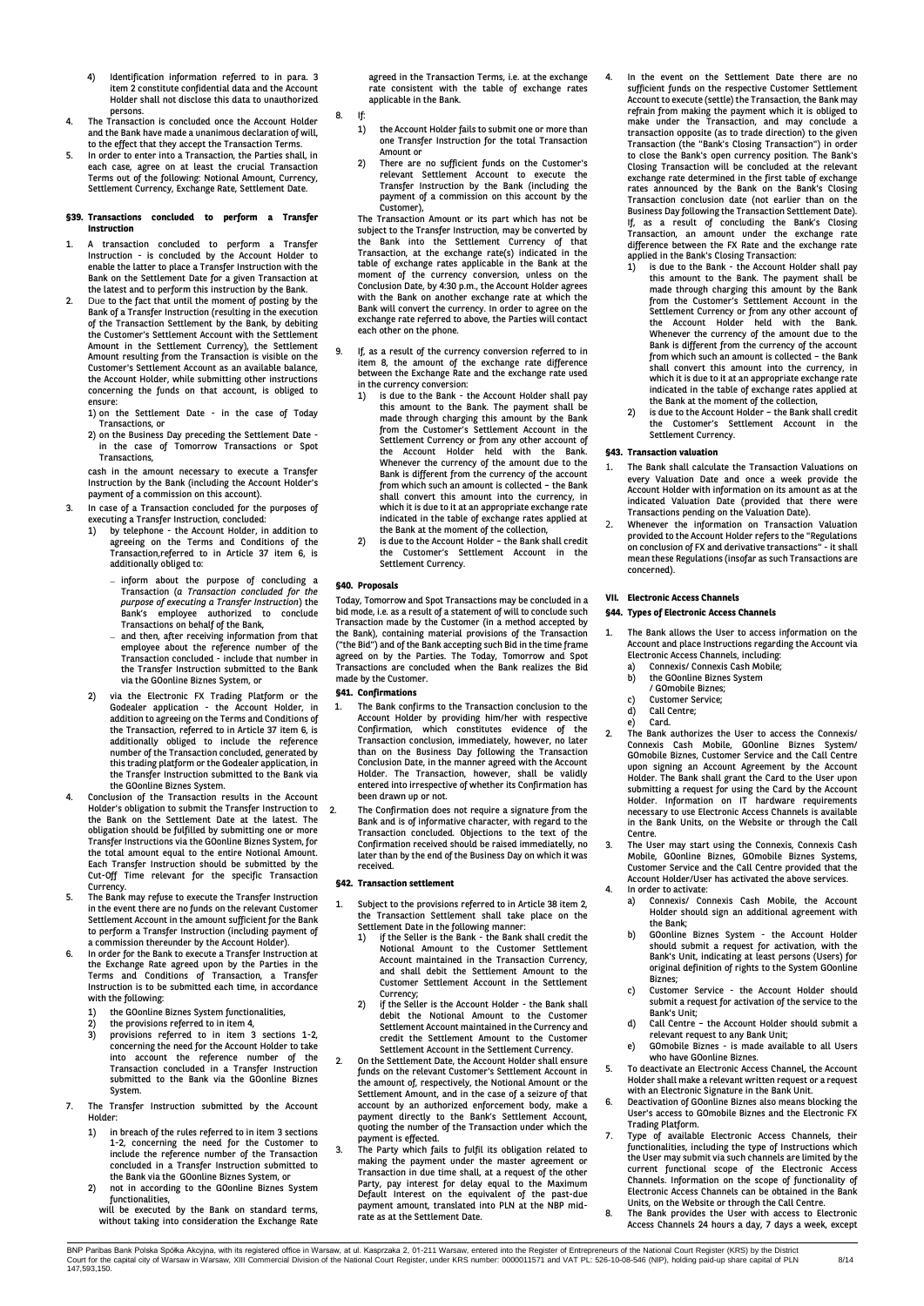- 4) Identification information referred to in para. 3 item 2 constitute confidential data and the Account Holder shall not disclose this data to unauthorized persons.
- 4. The Transaction is concluded once the Account Holder and the Bank have made a unanimous declaration of will, to the effect that they accept the Transaction Terms.
- 5. In order to enter into a Transaction, the Parties shall, in each case, agree on at least the crucial Transaction Terms out of the following: Notional Amount, Currency, Settlement Currency, Exchange Rate, Settlement Date.

#### **§39. Transactions concluded to perform a Transfer Instruction**

- 1. A transaction concluded to perform a Transfer Instruction - is concluded by the Account Holder to enable the latter to place a Transfer Instruction with the Bank on the Settlement Date for a given Transaction at
- the latest and to perform this instruction by the Bank. 2. Due to the fact that until the moment of posting by the Bank of a Transfer Instruction (resulting in the execution of the Transaction Settlement by the Bank, by debiting the Customer's Settlement Account with the Settlement Amount in the Settlement Currency), the Settlement Amount resulting from the Transaction is visible on the Customer's Settlement Account as an available balance, the Account Holder, while submitting other instructions concerning the funds on that account, is obliged to ensure:

1) on the Settlement Date - in the case of Today

Transactions, or 2) on the Business Day preceding the Settlement Date in the case of Tomorrow Transactions or Spot m and ease

cash in the amount necessary to execute a Transfer Instruction by the Bank (including the Account Holder's payment of a commission on this account).

- 3. In case of a Transaction concluded for the purposes of
	- executing a Transfer Instruction, concluded:<br>1) by telephone the Account Holder, in 1) by telephone - the Account Holder, in addition to agreeing on the Terms and Conditions of the Transaction,referred to in Article 37 item 6, is additionally obliged to:
		- inform about the purpose of concluding a Transaction (*a Transaction concluded for the purpose of executing a Transfer Instruction*) the Bank's employee authorized to conclude Transactions on behalf of the Bank,
		- and then, after receiving information from that employee about the reference number of the Transaction concluded - include that number in the Transfer Instruction submitted to the Bank via the GOonline Biznes System, or
	- 2) via the Electronic FX Trading Platform or the Godealer application - the Account Holder, in addition to agreeing on the Terms and Conditions of the Transaction, referred to in Article 37 item 6, is additionally obliged to include the reference number of the Transaction concluded, generated by this trading platform or the Godealer application, in the Transfer Instruction submitted to the Bank via
- the GOonline Biznes System. 4. Conclusion of the Transaction results in the Account Holder's obligation to submit the Transfer Instruction to the Bank on the Settlement Date at the latest. The obligation should be fulfilled by submitting one or more Transfer Instructions via the GOonline Biznes System, for the total amount equal to the entire Notional Amount. Each Transfer Instruction should be submitted by the Cut-Off Time relevant for the specific Transaction Currency.
- 5. The Bank may refuse to execute the Transfer Instruction in the event there are no funds on the relevant Customer Settlement Account in the amount sufficient for the Bank to perform a Transfer Instruction (including payment of
- a commission thereunder by the Account Holder). 6. In order for the Bank to execute a Transfer Instruction at the Exchange Rate agreed upon by the Parties in the Terms and Conditions of Transaction, a Transfer Instruction is to be submitted each time, in accordance with the following:
	- 1) the GOonline Biznes System functionalities, 2) the provisions referred to in item 4,
	- 3) provisions referred to in item 3 sections 1-2, concerning the need for the Account Holder to take into account the reference number of the Transaction concluded in a Transfer Instruction submitted to the Bank via the GOonline Biznes System.
- 7. The Transfer Instruction submitted by the Account Holder:
	- 1) in breach of the rules referred to in item 3 sections 1-2, concerning the need for the Customer to include the reference number of the Transaction concluded in a Transfer Instruction submitted to the Bank via the [GOonline Biznes System, or](mailto:BiznesPl@net%20or)
	- 2) not in according to the [GOonline Biznes](mailto:BiznesPl@net%20or) System functionalities,
	- will be executed by the Bank on standard terms, without taking into consideration the Exchange Rate

agreed in the Transaction Terms, i.e. at the exchange rate consistent with the table of exchange rates applicable in the Bank.

- 8. If:
	- 1) the Account Holder fails to submit one or more than one Transfer Instruction for the total Transaction Amount or
	- 2) There are no sufficient funds on the Customer's relevant Settlement Account to execute the Transfer Instruction by the Bank (including the payment of a commission on this account by the Customer),

The Transaction Amount or its part which has not be subject to the Transfer Instruction, may be converted by the Bank into the Settlement Currency of that Transaction, at the exchange rate(s) indicated in the table of exchange rates applicable in the Bank at the moment of the currency conversion, unless on the Conclusion Date, by 4:30 p.m., the Account Holder agrees with the Bank on another exchange rate at which the Bank will convert the currency. In order to agree on the exchange rate referred to above, the Parties will contact each other on the phone.

- 9. If, as a result of the currency conversion referred to in item 8, the amount of the exchange rate difference between the Exchange Rate and the exchange rate used in the currency conversion:
	- is due to the Bank the Account Holder shall pay this amount to the Bank. The payment shall be made through charging this amount by the Bank from the Customer's Settlement Account in the Settlement Currency or from any other account of the Account Holder held with the Bank. Whenever the currency of the amount due to the Bank is different from the currency of the account from which such an amount is collected – the Bank shall convert this amount into the currency, in which it is due to it at an appropriate exchange rate indicated in the table of exchange rates applied at
	- the Bank at the moment of the collection, 2) is due to the Account Holder the Bank shall credit the Customer's Settlement Account in the Settlement Currency.

## **§40. Proposals**

Today, Tomorrow and Spot Transactions may be concluded in a bid mode, i.e. as a result of a statement of will to conclude such Transaction made by the Customer (in a method accepted by the Bank), containing material provisions of the Transaction ("the Bid") and of the Bank accepting such Bid in the time frame agreed on by the Parties. The Today, Tomorrow and Spot Transactions are concluded when the Bank realizes the Bid made by the Customer.

#### **§41. Confirmations**

- The Bank confirms to the Transaction conclusion to the Account Holder by providing him/her with respective Confirmation, which constitutes evidence of the Transaction conclusion, immediately, however, no later than on the Business Day following the Transaction Conclusion Date, in the manner agreed with the Account Holder. The Transaction, however, shall be validly entered into irrespective of whether its Confirmation has been drawn up or not.
- 2. The Confirmation does not require a signature from the Bank and is of informative character, with regard to the Transaction concluded. Objections to the text of the Confirmation received should be raised immediatelly, no later than by the end of the Business Day on which it was received.

## **§42. Transaction settlement**

- Subject to the provisions referred to in Article 38 item 2. the Transaction Settlement shall take place on the Settlement Date in the following manner:<br>1) if the Seller is the Bank - the Bank
	- if the Seller is the Bank the Bank shall credit the Notional Amount to the Customer Settlement Account maintained in the Transaction Currency, and shall debit the Settlement Amount to the Customer Settlement Account in the Settlement Currency;
	- if the Seller is the Account Holder the Bank shall debit the Notional Amount to the Customer Settlement Account maintained in the Currency and credit the Settlement Amount to the Customer Settlement Account in the Settlement Currency.
- 2. On the Settlement Date, the Account Holder shall ensure funds on the relevant Customer's Settlement Account in the amount of, respectively, the Notional Amount or the Settlement Amount, and in the case of a seizure of that account by an authorized enforcement body, make a payment directly to the Bank's Settlement Account, quoting the number of the Transaction under which the payment is effected.
- 3. The Party which fails to fulfil its obligation related to making the payment under the master agreement or Transaction in due time shall, at a request of the other Party, pay interest for delay equal to the Maximum Default Interest on the equivalent of the past-due payment amount, translated into PLN at the NBP midrate as at the Settlement Date.
- In the event on the Settlement Date there are no sufficient funds on the respective Customer Settlement Account to execute (settle) the Transaction, the Bank may refrain from making the payment which it is obliged to make under the Transaction, and may conclude a transaction opposite (as to trade direction) to the given Transaction (the "Bank's Closing Transaction") in order to close the Bank's open currency position. The Bank's Closing Transaction will be concluded at the relevant exchange rate determined in the first table of exchange rates announced by the Bank on the Bank's Closing Transaction conclusion date (not earlier than on the Business Day following the Transaction Settlement Date). If, as a result of concluding the Bank's Closing Transaction, an amount under the exchange rate difference between the FX Rate and the exchange rate applied in the Bank's Closing Transaction:<br>1) is due to the Bank - the Account Ho
- is due to the Bank the Account Holder shall pay this amount to the Bank. The payment shall b made through charging this amount by the Bank from the Customer's Settlement Account in the Settlement Currency or from any other account of the Account Holder held with the Bank. Whenever the currency of the amount due to the Bank is different from the currency of the account from which such an amount is collected – the Bank shall convert this amount into the currency, in which it is due to it at an appropriate exchange rate indicated in the table of exchange rates applied at the Bank at the moment of the collection,
- 2) is due to the Account Holder the Bank shall credit the Customer's Settlement Account in the Settlement Currency.

#### **§43. Transaction valuation**

- 1. The Bank shall calculate the Transaction Valuations on every Valuation Date and once a week provide the Account Holder with information on its amount as at the indicated Valuation Date (provided that there were Transactions pending on the Valuation Date).
- Whenever the information on Transaction Valuation provided to the Account Holder refers to the "Regulations on conclusion of FX and derivative transactions" - it shall mean these Regulations (insofar as such Transactions are concerned).

#### **VII. Electronic Access Channels**

#### **§44. Types of Electronic Access Channels**

- The Bank allows the User to access information on the Account and place Instructions regarding the Account via Electronic Access Channels, including:<br>a) Connexis/ Connexis Cash Mobile:
	- Connexis/ Connexis Cash Mobile;
	- b) the GOonline Biznes System / GOmobile Biznes;
	-
	- c) Customer Service; d) Call Centre;
	- e) Card.
- 2. The Bank authorizes the User to access the Connexis/ Connexis Cash Mobile, GOonline Biznes System/ GOmobile Biznes, Customer Service and the Call Centre upon signing an Account Agreement by the Account Holder. The Bank shall grant the Card to the User upon submitting a request for using the Card by the Account Holder. Information on IT hardware requirements necessary to use Electronic Access Channels is available in the Bank Units, on the Website or through the Call Centre.
- 3. The User may start using the Connexis, Connexis Cash Mobile, GOonline Biznes, GOmobile Biznes Systems, Customer Service and the Call Centre provided that the Account Holder/User has activated the above services. 4. In order to activate:
	- a) Connexis/ Connexis Cash Mobile, the Account Holder should sign an additional agreement with
	- the Bank; b) GOonline Biznes System - the Account Holder should submit a request for activation, with the Bank's Unit, indicating at least persons (Users) for original definition of rights to the System GOonline
	- Biznes; c) Customer Service - the Account Holder should submit a request for activation of the service to the
	- Bank's Unit; d) Call Centre the Account Holder should submit a relevant request to any Bank Unit;
	- e) GOmobile Biznes is made available to all Users who have GOonline Biznes.
	- 5. To deactivate an Electronic Access Channel, the Account Holder shall make a relevant written request or a request with an Electronic Signature in the Bank Unit.
- 6. Deactivation of GOonline Biznes also means blocking the User's access to GOmobile Biznes and the Electronic FX Trading Platform.
- Type of available Electronic Access Channels, their functionalities, including the type of Instructions which the User may submit via such channels are limited by the current functional scope of the Electronic Access Channels. Information on the scope of functionality of Electronic Access Channels can be obtained in the Bank Units, on the Website or through the Call Centre.
- 8. The Bank provides the User with access to Electronic Access Channels 24 hours a day, 7 days a week, except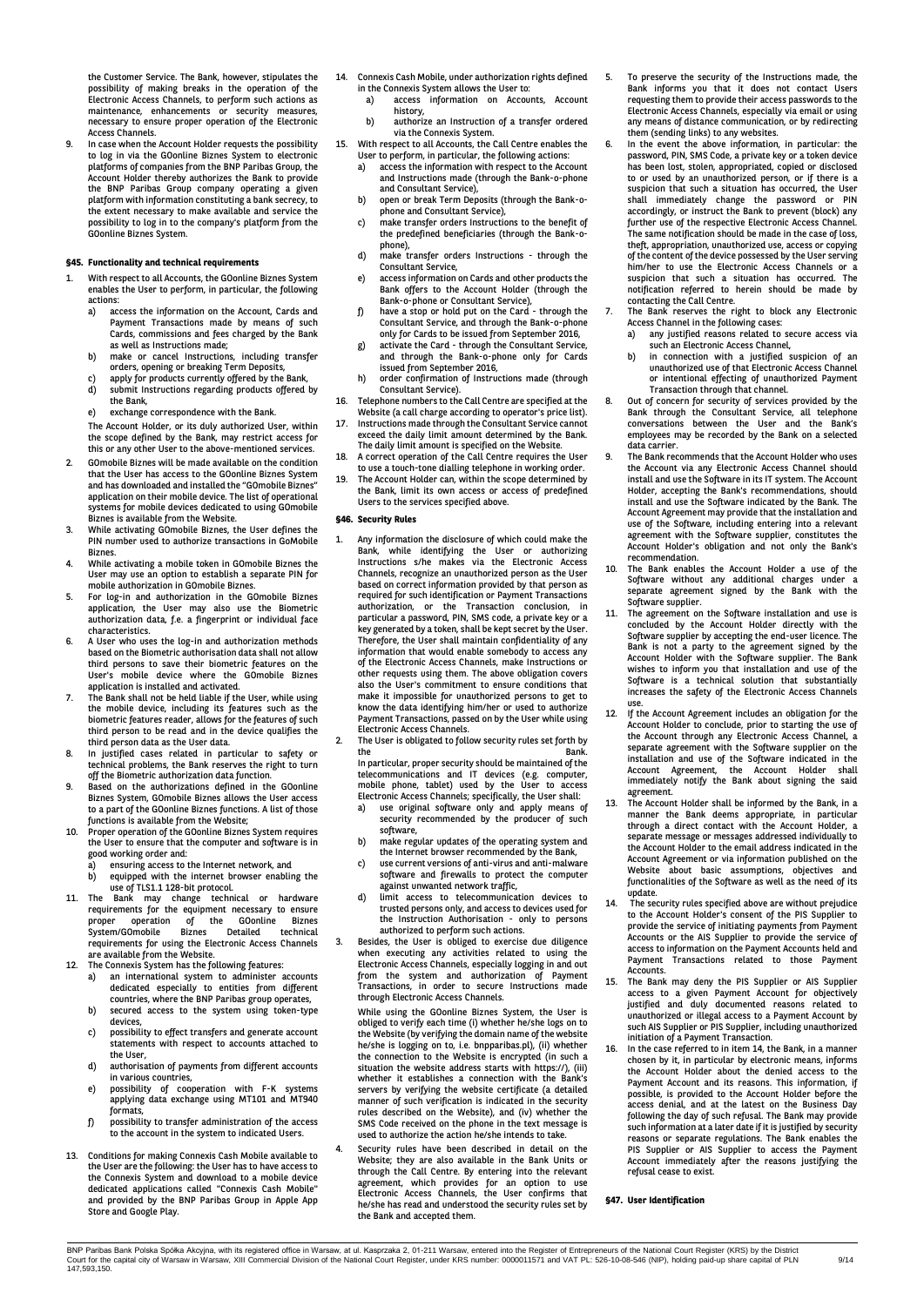the Customer Service. The Bank, however, stipulates the possibility of making breaks in the operation of the Electronic Access Channels, to perform such actions as maintenance, enhancements or security measures, necessary to ensure proper operation of the Electronic Access Channels.

In case when the Account Holder requests the possibility to log in via the GOonline Biznes System to electronic<br>platforms of companies from the BNP Paribas Group, the Account Holder thereby authorizes the Bank to provide the BNP Paribas Group company operating a given platform with information constituting a bank secrecy, to the extent necessary to make available and service the possibility to log in to the company's platform from the GOonline Biznes System.

## **§45. Functionality and technical requirements**

- With respect to all Accounts, the GOonline Biznes System enables the User to perform, in particular, the following actions:<br>a) ac
	- a) access the information on the Account, Cards and Payment Transactions made by means of such Cards, commissions and fees charged by the Bank as well as Instructions made;
	- b) make or cancel Instructions, including transfer orders, opening or breaking Term Deposits, c) apply for products currently offered by the Bank,
	- d) submit Instructions regarding products offered by the Bank,
	- e) exchange correspondence with the Bank.
	- The Account Holder, or its duly authorized User, within the scope defined by the Bank, may restrict access for this or any other User to the above-mentioned services.
- 2. GOmobile Biznes will be made available on the condition that the User has access to the GOonline Biznes System and has downloaded and installed the "GOmobile Biznes" application on their mobile device. The list of operational systems for mobile devices dedicated to using GOmobile Biznes is available from the Website.
- 3. While activating GOmobile Biznes, the User defines the PIN number used to authorize transactions in GoMobile
- Biznes. 4. While activating a mobile token in GOmobile Biznes the User may use an option to establish a separate PIN for
- mobile authorization in GOmobile Biznes. 5. For log-in and authorization in the GOmobile Biznes application, the User may also use the Biometric authorization data, f.e. a fingerprint or individual face characteristics.
- 6. A User who uses the log-in and authorization methods based on the Biometric authorisation data shall not allow third persons to save their biometric features on the User's mobile device where the GOmobile Biznes application is installed and activated.
- 7. The Bank shall not be held liable if the User, while using the mobile device, including its features such as the biometric features reader, allows for the features of such third person to be read and in the device qualifies the third person data as the User data.
- 8. In justified cases related in particular to safety or technical problems, the Bank reserves the right to turn off the Biometric authorization data function.
- 9. Based on the authorizations defined in the GOonline Biznes System, GOmobile Biznes allows the User access to a part of the GOonline Biznes functions. A list of those functions is available from the Website;
- 10. Proper operation of the GOonline Biznes System requires the User to ensure that the computer and software is in good working order and:
	- a) ensuring access to the Internet network, and b) equipped with the internet browser enabling the
- use of TLS1.1 128-bit protocol. 11. The Bank may change technical or hardware requirements for the equipment necessary to ensure proper operation of the GOonline Biznes System/GOmobile Biznes Detailed technical requirements for using the Electronic Access Channels are available from the Website.
- 12. The Connexis System has the following features:
	- a) an international system to administer accounts dedicated especially to entities from different countries, where the BNP Paribas group operates, b) secured access to the system using token-type
	- devices, c) possibility to effect transfers and generate account
	- statements with respect to accounts attached to the User d) authorisation of payments from different accounts
	- in various countries, e) possibility of cooperation with F-K systems
	- applying data exchange using MT101 and MT940 formats,
	- f) possibility to transfer administration of the access to the account in the system to indicated Users.
- 13. Conditions for making Connexis Cash Mobile available to the User are the following: the User has to have access to the Connexis System and download to a mobile device dedicated applications called "Connexis Cash Mobile" and provided by the BNP Paribas Group in Apple App Store and Google Play.
- 14. Connexis Cash Mobile, under authorization rights defined in the Connexis System allows the User to:
	- a) access information on Accounts, Account history,
- b) authorize an Instruction of a transfer ordered via the Connexis System. 15. With respect to all Accounts, the Call Centre enables the
	-
	- User to perform, in particular, the following actions: a) access the information with respect to the Account and Instructions made (through the Bank-o-phone and Consultant Service), b) open or break Term Deposits (through the Bank-o-
	- phone and Consultant Service), c) make transfer orders Instructions to the benefit of
	- the predefined beneficiaries (through the Bank-ophone),
	- d) make transfer orders Instructions through the Consultant Service,
	- e) access information on Cards and other products the Bank offers to the Account Holder (through the Bank-o-phone or Consultant Service),
	- f) have a stop or hold put on the Card through the Consultant Service, and through the Bank-o-phone only for Cards to be issued from September 2016,
	- g) activate the Card through the Consultant Service, and through the Bank-o-phone only for Cards issued from September 2016,
	- h) order confirmation of Instructions made (through Consultant Service).
- 16. Telephone numbers to the Call Centre are specified at the
- Website (a call charge according to operator's price list). 17. Instructions made through the Consultant Service cannot exceed the daily limit amount determined by the Bank. The daily limit amount is specified on the Website.
- 18. A correct operation of the Call Centre requires the User to use a touch-tone dialling telephone in working order. 19. The Account Holder can, within the scope determined by
- the Bank, limit its own access or access of predefined Users to the services specified above.

## **§46. Security Rules**

- 1. Any information the disclosure of which could make the Bank, while identifying the User or authorizing Instructions s/he makes via the Electronic Access Channels, recognize an unauthorized person as the User based on correct information provided by that person as required for such identification or Payment Transactions authorization, or the Transaction conclusion, in particular a password, PIN, SMS code, a private key or a key generated by a token, shall be kept secret by the User. Therefore, the User shall maintain confidentiality of any information that would enable somebody to access any of the Electronic Access Channels, make Instructions or other requests using them. The above obligation covers also the User's commitment to ensure conditions that make it impossible for unauthorized persons to get to know the data identifying him/her or used to authorize Payment Transactions, passed on by the User while using Electronic Access Channels.
- 2. The User is obligated to follow security rules set forth by<br>the the Bank. In particular, proper security should be maintained of the
	- telecommunications and IT devices (e.g. computer, mobile phone, tablet) used by the User to access
	- Electronic Access Channels; specifically, the User shall: a) use original software only and apply means of security recommended by the producer of such software,
	- b) make regular updates of the operating system and the Internet browser recommended by the Bank,
	- c) use current versions of anti-virus and anti-malware software and firewalls to protect the computer
	- against unwanted network traffic, d) limit access to telecommunication devices to trusted persons only, and access to devices used for the Instruction Authorisation - only to persons authorized to perform such actions.
- 3. Besides, the User is obliged to exercise due diligence when executing any activities related to using the Electronic Access Channels, especially logging in and out from the system and authorization of Payment Transactions, in order to secure Instructions made through Electronic Access Channels.

While using the GOonline Biznes System, the User is obliged to verify each time (i) whether he/she logs on to the Website (by verifying the domain name of the website he/she is logging on to, i.e. bnpparibas.pl), (ii) whether the connection to the Website is encrypted (in such a situation the website address starts with https://), (iii) whether it establishes a connection with the Bank's servers by verifying the website certificate (a detailed manner of such verification is indicated in the security rules described on the Website), and (iv) whether the SMS Code received on the phone in the text message is used to authorize the action he/she intends to take.

Security rules have been described in detail on the Website; they are also available in the Bank Units or through the Call Centre. By entering into the relevant agreement, which provides for an option to use Electronic Access Channels, the User confirms that he/she has read and understood the security rules set by the Bank and accepted them.

- 5. To preserve the security of the Instructions made, the Bank informs you that it does not contact Users requesting them to provide their access passwords to the Electronic Access Channels, especially via email or using any means of distance communication, or by redirecting
- them (sending links) to any websites. 6. In the event the above information, in particular: the password, PIN, SMS Code, a private key or a token device has been lost, stolen, appropriated, copied or disclosed to or used by an unauthorized person, or if there is a suspicion that such a situation has occurred, the User subpressive that sould a shouldness has seen that sould immediately change the password or PIN accordingly, or instruct the Bank to prevent (block) any further use of the respective Electronic Access Channel. The same notification should be made in the case of loss, theft, appropriation, unauthorized use, access or copying of the content of the device possessed by the User serving him/her to use the Electronic Access Channels or a suspicion that such a situation has occurred. notification referred to herein should be made by contacting the Call Centre.
- 7. The Bank reserves the right to block any Electronic Access Channel in the following cases: a) any justified reasons related to secure access via
	- such an Electronic Access Channel,
	- b) in connection with a justified suspicion of an unauthorized use of that Electronic Access Channel or intentional effecting of unauthorized Payment Transaction through that channel.
- 8. Out of concern for security of services provided by the Bank through the Consultant Service, all telephone conversations between the User and the Bank's employees may be recorded by the Bank on a selected data carrier.
- The Bank recommends that the Account Holder who uses the Account via any Electronic Access Channel should install and use the Software in its IT system. The Account Holder, accepting the Bank's recommendations, should install and use the Software indicated by the Bank. The Account Agreement may provide that the installation and use of the Software, including entering into a relevant agreement with the Software supplier, constitutes the Account Holder's obligation and not only the Bank's recommendation.
- 10. The Bank enables the Account Holder a use of the Software without any additional charges under a separate agreement signed by the Bank with the
- Software supplier. 11. The agreement on the Software installation and use is concluded by the Account Holder directly with the Software supplier by accepting the end-user licence. The Bank is not a party to the agreement signed by the Account Holder with the Software supplier. The Bank wishes to inform you that installation and use of the Software is a technical solution that substantially increases the safety of the Electronic Access Channels use.
- 12. If the Account Agreement includes an obligation for the Account Holder to conclude, prior to starting the use of the Account through any Electronic Access Channel, a separate agreement with the Software supplier on the installation and use of the Software indicated in the Account Agreement, the Account Holder shall immediately notify the Bank about signing the said agreement.
- 13. The Account Holder shall be informed by the Bank, in a manner the Bank deems appropriate, in particular through a direct contact with the Account Holder, a separate message or messages addressed individually to the Account Holder to the email address indicated in the Account Agreement or via information published on the Website about basic assumptions, objectives and functionalities of the Software as well as the need of its update.
- 14. The security rules specified above are without prejudice to the Account Holder's consent of the PIS Supplier to provide the service of initiating payments from Payment Accounts or the AIS Supplier to provide the service of access to information on the Payment Accounts held and Payment Transactions related to those Payment **Accounts**
- 15. The Bank may deny the PIS Supplier or AIS Supplier access to a given Payment Account for objectively justified and duly documented reasons related to unauthorized or illegal access to a Payment Account by such AIS Supplier or PIS Supplier, including unauthorized initiation of a Payment Transaction.
- 16. In the case referred to in item 14, the Bank, in a manner chosen by it, in particular by electronic means, informs the Account Holder about the denied access to the Payment Account and its reasons. This information, if possible, is provided to the Account Holder before the access denial, and at the latest on the Business Day following the day of such refusal. The Bank may provide such information at a later date if it is justified by security reasons or separate regulations. The Bank enables the PIS Supplier or AIS Supplier to access the Payment Account immediately after the reasons justifying the refusal cease to exist.

#### **§47. User Identification**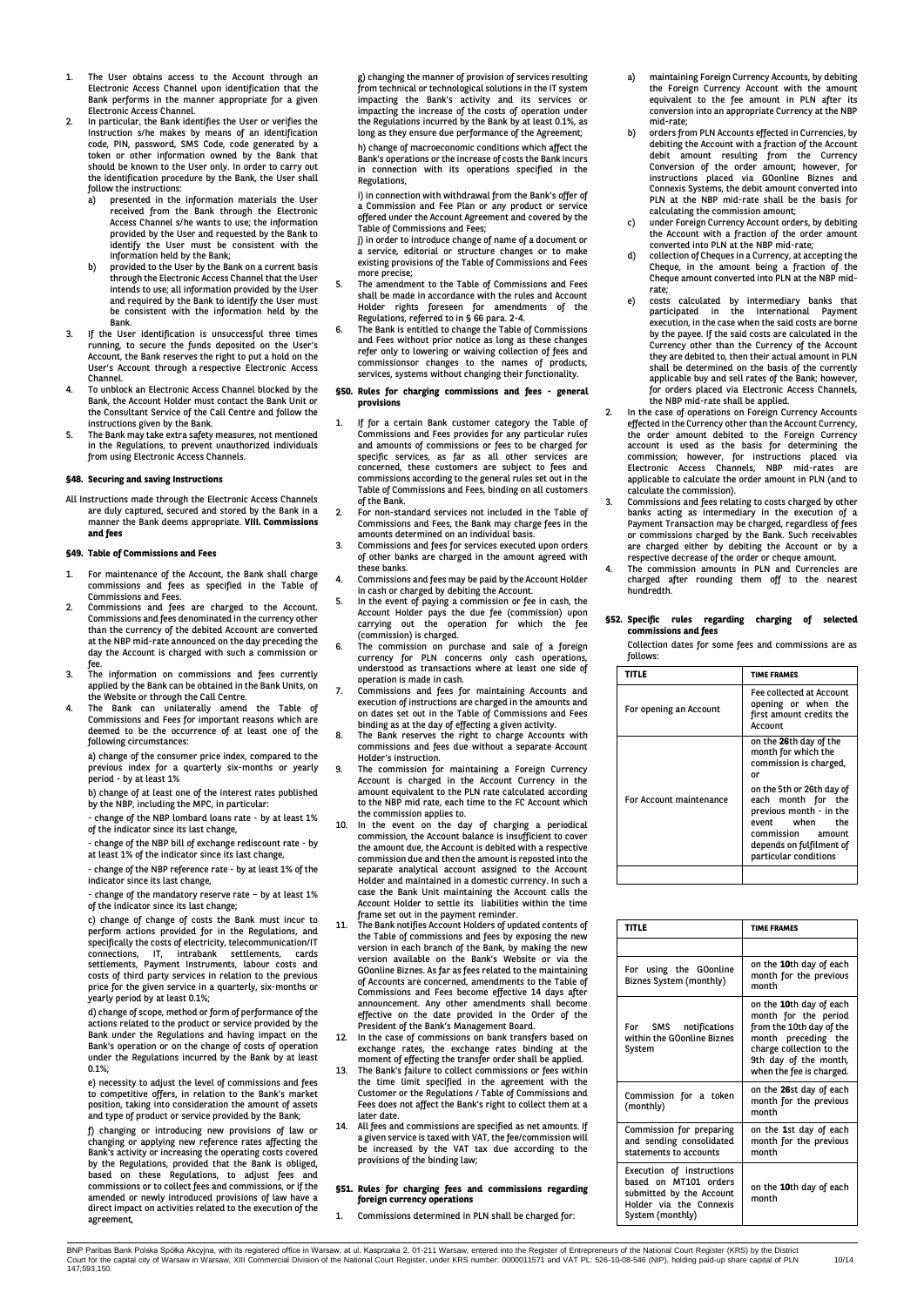- 1. The User obtains access to the Account through an Electronic Access Channel upon identification that the Bank performs in the manner appropriate for a given Electronic Access Channel.
- 2. In particular, the Bank identifies the User or verifies the Instruction s/he makes by means of an identification code, PIN, password, SMS Code, code generated by a token or other information owned by the Bank that should be known to the User only. In order to carry out the identification procedure by the Bank, the User shall follow the instructions:<br>a) presented in the
	- a) presented in the information materials the User received from the Bank through the Electronic Access Channel s/he wants to use; the information provided by the User and requested by the Bank to identify the User must be consistent with the information held by the Bank;
	- b) provided to the User by the Bank on a current basis through the Electronic Access Channel that the User intends to use; all information provided by the User and required by the Bank to identify the User must be consistent with the information held by the Bank.
- 3. If the User identification is unsuccessful three times running, to secure the funds deposited on the User's Account, the Bank reserves the right to put a hold on the User's Account through a respective Electronic Access Channel.
- 4. To unblock an Electronic Access Channel blocked by the Bank, the Account Holder must contact the Bank Unit or the Consultant Service of the Call Centre and follow the instructions given by the Bank.
- 5. The Bank may take extra safety measures, not mentioned in the Regulations, to prevent unauthorized individuals from using Electronic Access Channels.

#### **§48. Securing and saving Instructions**

All Instructions made through the Electronic Access Channels are duly captured, secured and stored by the Bank in a manner the Bank deems appropriate. **VIII. Commissions and fees**

## **§49. Table of Commissions and Fees**

- For maintenance of the Account, the Bank shall charge commissions and fees as specified in the Table of Commissions and Fees.
- 2. Commissions and fees are charged to the Account. Commissions and fees denominated in the currency other than the currency of the debited Account are converted at the NBP mid-rate announced on the day preceding the day the Account is charged with such a commission or
- fee. 3. The information on commissions and fees currently applied by the Bank can be obtained in the Bank Units, on the Website or through the Call Centre.
- 4. The Bank can unilaterally amend the Table of Commissions and Fees for important reasons which are deemed to be the occurrence of at least one of the following circumstances:
	- a) change of the consumer price index, compared to the previous index for a quarterly six-months or yearly period - by at least 1%
	- b) change of at least one of the interest rates published by the NBP, including the MPC, in particular:
	- change of the NBP lombard loans rate by at least 1% of the indicator since its last change,
	- change of the NBP bill of exchange rediscount rate by
	- at least 1% of the indicator since its last change, - change of the NBP reference rate - by at least 1% of the
	- indicator since its last change,
	- change of the mandatory reserve rate by at least 1% of the indicator since its last change;

c) change of change of costs the Bank must incur to<br>perform actions provided for in the Regulations, and<br>specifically the costs of electricity, telecommunication/IT<br>connections, IT, intrabank settlements, cards<br>settlements costs of third party services in relation to the previous price for the given service in a quarterly, six-months or yearly period by at least 0.1%;

d) change of scope, method or form of performance of the actions related to the product or service provided by the Bank under the Regulations and having impact on the Bank's operation or on the change of costs of operation under the Regulations incurred by the Bank by at least 0.1%;

e) necessity to adjust the level of commissions and fees to competitive offers, in relation to the Bank's market position, taking into consideration the amount of assets and type of product or service provided by the Bank;

f) changing or introducing new provisions of law or changing or applying new reference rates affecting the Bank's activity or increasing the operating costs covered by the Regulations, provided that the Bank is obliged,<br>based on these Regulations, to adjust fees and<br>commissions or to collect fees and commissions, or if the amended or newly introduced provisions of law have a direct impact on activities related to the execution of the agreement,

g) changing the manner of provision of services resulting from technical or technological solutions in the IT system impacting the Bank's activity and its services or impacting the increase of the costs of operation under the Regulations incurred by the Bank by at least 0.1%, as long as they ensure due performance of the Agreement;

h) change of macroeconomic conditions which affect the Bank's operations or the increase of costs the Bank incurs in connection with its operations specified in the Regulations,

i) in connection with withdrawal from the Bank's offer of a Commission and Fee Plan or any product or service offered under the Account Agreement and covered by the

Table of Commissions and Fees; j) in order to introduce change of name of a document or a service, editorial or structure changes or to make existing provisions of the Table of Commissions and Fees more precise;

- 5. The amendment to the Table of Commissions and Fees shall be made in accordance with the rules and Account Holder rights foreseen for amendments of the Regulations, referred to in § 66 para. 2-4.
- The Bank is entitled to change the Table of Commissions and Fees without prior notice as long as these changes refer only to lowering or waiving collection of fees and commissionsor changes to the names of products, services, systems without changing their functionality.

#### **§50. Rules for charging commissions and fees - general provisions**

- If for a certain Bank customer category the Table of Commissions and Fees provides for any particular rules and amounts of commissions or fees to be charged for specific services, as far as all other services are concerned, these customers are subject to fees and commissions according to the general rules set out in the Table of Commissions and Fees, binding on all customers of the Bank.
- 2. For non-standard services not included in the Table of Commissions and Fees, the Bank may charge fees in the amounts determined on an individual basis.
- 3. Commissions and fees for services executed upon orders of other banks are charged in the amount agreed with these banks.
- 4. Commissions and fees may be paid by the Account Holder
- in cash or charged by debiting the Account. 5. In the event of paying a commission or fee in cash, the Account Holder pays the due fee (commission) upon carrying out the operation for which the fee carrying core and open
- 6. The commission on purchase and sale of a foreign currency for PLN concerns only cash operations, understood as transactions where at least one side of operation is made in cash.
- 7. Commissions and fees for maintaining Accounts and execution of instructions are charged in the amounts and on dates set out in the Table of Commissions and Fees
- binding as at the day of effecting a given activity. 8. The Bank reserves the right to charge Accounts with commissions and fees due without a separate Account Holder's instruction.
- The commission for maintaining a Foreign Currency Account is charged in the Account Currency in the amount equivalent to the PLN rate calculated according to the NBP mid rate, each time to the FC Account which the commission applies to.
- 10. In the event on the day of charging a periodical commission, the Account balance is insufficient to cover the amount due, the Account is debited with a respective commission due and then the amount is reposted into the separate analytical account assigned to the Account Holder and maintained in a domestic currency. In such a case the Bank Unit maintaining the Account calls the Account Holder to settle its liabilities within the time frame set out in the payment reminder.
- 11. The Bank notifies Account Holders of updated contents of the Table of commissions and fees by exposing the new version in each branch of the Bank, by making the new version available on the Bank's Website or via the GOonline Biznes. As far as fees related to the maintaining of Accounts are concerned, amendments to the Table of Commissions and Fees become effective 14 days after announcement. Any other amendments shall become effective on the date provided in the Order of the President of the Bank's Management Board.
- 12. In the case of commissions on bank transfers based on exchange rates, the exchange rates binding at the moment of effecting the transfer order shall be applied.
- The Bank's failure to collect commissions or fees within the time limit specified in the agreement with the Customer or the Regulations / Table of Commissions and Fees does not affect the Bank's right to collect them at a later date.
- 14. All fees and commissions are specified as net amounts. If a given service is taxed with VAT, the fee/commission will be increased by the VAT tax due according to the provisions of the binding law;

#### **§51. Rules for charging fees and commissions regarding foreign currency operations**

Commissions determined in PLN shall be charged for:

- maintaining Foreign Currency Accounts, by debiting the Foreign Currency Account with the amount equivalent to the fee amount in PLN after its conversion into an appropriate Currency at the NBP mid-rate;
- b) orders from PLN Accounts effected in Currencies, by debiting the Account with a fraction of the Account debit amount resulting from the Currency Conversion of the order amount; however, for instructions placed via GOonline Biznes and Connexis Systems, the debit amount converted into PLN at the NBP mid-rate shall be the basis for calculating the commission amount;
- editediting the commission dineering<br>under Foreign Currency Account orders, by debiting the Account with a fraction of the order amount converted into PLN at the NBP mid-rate;
- collection of Cheques in a Currency, at accepting the Cheque, in the amount being a fraction of the Cheque amount converted into PLN at the NBP midrate;
- e) costs calculated by intermediary banks that participated in the International Payment execution, in the case when the said costs are borne by the payee. If the said costs are calculated in the Currency other than the Currency of the Account they are debited to, then their actual amount in PLN shall be determined on the basis of the currently applicable buy and sell rates of the Bank; however, for orders placed via Electronic Access Channels, the NBP mid-rate shall be applied.
- 2. In the case of operations on Foreign Currency Accounts effected in the Currency other than the Account Currency, the order amount debited to the Foreign Currency account is used as the basis for determining the commission; however, for instructions placed via Electronic Access Channels, NBP mid-rates are applicable to calculate the order amount in PLN (and to calculate the commission). 3. Commissions and fees relating to costs charged by other
- banks acting as intermediary in the execution of a Payment Transaction may be charged, regardless of fees or commissions charged by the Bank. Such receivables are charged either by debiting the Account or by a respective decrease of the order or cheque amount.
- 4. The commission amounts in PLN and Currencies are charged after rounding them off to the nearest hundredth.

# **§52. Specific rules regarding charging of selected commissions and fees**

Collection dates for some fees and commissions are as follows:

| <b>TITLE</b>            | <b>TIME FRAMES</b>                                                                                                                                                                                                                                         |
|-------------------------|------------------------------------------------------------------------------------------------------------------------------------------------------------------------------------------------------------------------------------------------------------|
| For opening an Account  | Fee collected at Account<br>opening or when the<br>first amount credits the<br>Account                                                                                                                                                                     |
| For Account maintenance | on the 26th day of the<br>month for which the<br>commission is charged,<br>or<br>on the 5th or 26th day of<br>each month for the<br>previous month - in the<br>event when<br>the<br>commission amount<br>depends on fulfilment of<br>particular conditions |
|                         |                                                                                                                                                                                                                                                            |

| <b>TITLE</b>                                                                                                                  | <b>TIME FRAMES</b>                                                                                                                                                                  |
|-------------------------------------------------------------------------------------------------------------------------------|-------------------------------------------------------------------------------------------------------------------------------------------------------------------------------------|
|                                                                                                                               |                                                                                                                                                                                     |
| For using the GOonline<br>Biznes System (monthly)                                                                             | on the 10th day of each<br>month for the previous<br>month                                                                                                                          |
| For SMS notifications<br>within the GOonline Biznes<br>System                                                                 | on the 10th day of each<br>month for the period<br>from the 10th day of the<br>month preceding the<br>charge collection to the<br>9th day of the month,<br>when the fee is charged. |
| Commission for a token<br>(monthly)                                                                                           | on the 26st day of each<br>month for the previous<br>month                                                                                                                          |
| Commission for preparing<br>and sending consolidated<br>statements to accounts                                                | on the 1st day of each<br>month for the previous<br>month                                                                                                                           |
| Execution of instructions<br>based on MT101 orders<br>submitted by the Account<br>Holder via the Connexis<br>System (monthly) | on the <b>10</b> th day of each<br>month                                                                                                                                            |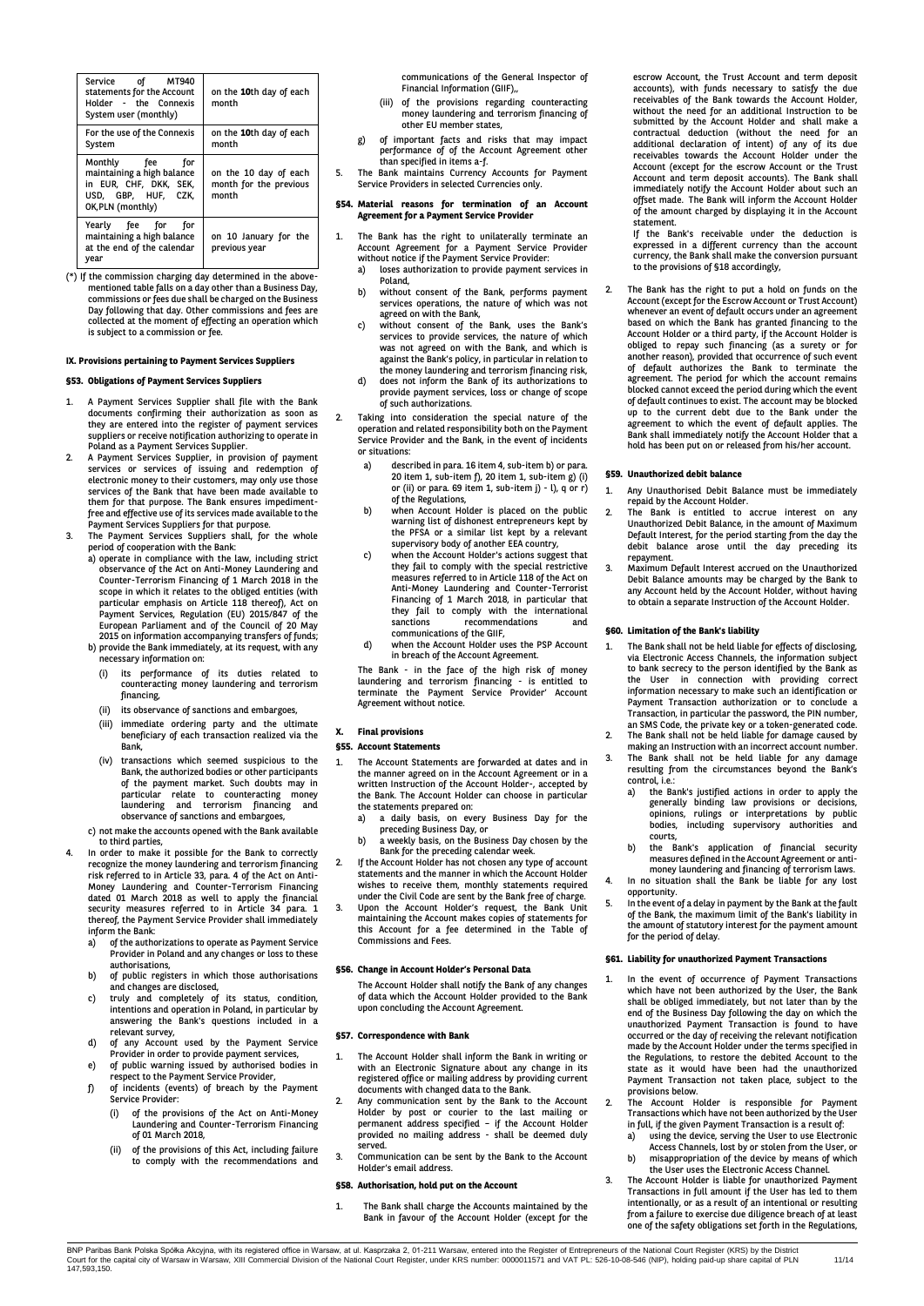| Service of MT940<br>statements for the Account<br>Holder - the Connexis<br>System user (monthly)                       | on the 10th day of each<br>month                         |
|------------------------------------------------------------------------------------------------------------------------|----------------------------------------------------------|
| For the use of the Connexis<br>System                                                                                  | on the 10th day of each<br>month                         |
| Monthly fee<br>for<br>maintaining a high balance<br>in EUR, CHF, DKK, SEK,<br>USD, GBP, HUF, CZK,<br>OK, PLN (monthly) | on the 10 day of each<br>month for the previous<br>month |
| Yearly fee for for<br>maintaining a high balance<br>at the end of the calendar<br>year                                 | on 10 January for the<br>previous year                   |

(\*) If the commission charging day determined in the above-mentioned table falls on a day other than a Business Day, commissions or fees due shall be charged on the Business Day following that day. Other commissions and fees are collected at the moment of effecting an operation which is subject to a commission or fee.

## **IX. Provisions pertaining to Payment Services Suppliers**

## **§53. Obligations of Payment Services Suppliers**

- 1. A Payment Services Supplier shall file with the Bank documents confirming their authorization as soon as they are entered into the register of payment services suppliers or receive notification authorizing to operate in Poland as a Payment Services Supplier.
- 2. A Payment Services Supplier, in provision of payment services or services of issuing and redemption of electronic money to their customers, may only use those services of the Bank that have been made available to them for that purpose. The Bank ensures impedimentfree and effective use of its services made available to the
- Payment Services Suppliers for that purpose. 3. The Payment Services Suppliers shall, for the whole period of cooperation with the Bank:
	- a) operate in compliance with the law, including strict observance of the Act on Anti-Money Laundering and Counter-Terrorism Financing of 1 March 2018 in the scope in which it relates to the obliged entities (with particular emphasis on Article 118 thereof), Act on Payment Services, Regulation (EU) 2015/847 of the European Parliament and of the Council of 20 May 2015 on information accompanying transfers of funds; b) provide the Bank immediately, at its request, with any
		- necessary information on: (i) its performance of its duties related to counteracting money laundering and terrorism
		- financing,
		- (ii) its observance of sanctions and embargoes,
		- (iii) immediate ordering party and the ultimate beneficiary of each transaction realized via the Bank,
		- (iv) transactions which seemed suspicious to the Bank, the authorized bodies or other participants of the payment market. Such doubts may in particular relate to counteracting money laundering and terrorism financing and observance of sanctions and embargoes,
	- c) not make the accounts opened with the Bank available to third parties,
	- In order to make it possible for the Bank to correctly recognize the money laundering and terrorism financing risk referred to in Article 33, para. 4 of the Act on Anti-Money Laundering and Counter-Terrorism Financing dated 01 March 2018 as well to apply the financial security measures referred to in Article 34 para. 1 thereof, the Payment Service Provider shall immediately inform the Bank:
	- a) of the authorizations to operate as Payment Service Provider in Poland and any changes or loss to these
	- authorisations, b) of public registers in which those authorisations and changes are disclosed, c) truly and completely of its status, condition,
	- intentions and operation in Poland, in particular by answering the Bank's questions included in a relevant survey,
	- d) of any Account used by the Payment Service Provider in order to provide payment services,
	- e) of public warning issued by authorised bodies in respect to the Payment Service Provider,
	- f) of incidents (events) of breach by the Payment Service Provider:
		- (i) of the provisions of the Act on Anti-Money Laundering and Counter-Terrorism Financing of 01 March 2018,
		- (ii) of the provisions of this Act, including failure to comply with the recommendations and

communications of the General Inspector of Financial Information (GIIF)...

- (iii) of the provisions regarding counteracting money laundering and terrorism financing of other EU member states,
- g) of important facts and risks that may impact performance of of the Account Agreement other than specified in items a-f.
- 5. The Bank maintains Currency Accounts for Payment Service Providers in selected Currencies only.

# **§54. Material reasons for termination of an Account Agreement for a Payment Service Provider**

- 1. The Bank has the right to unilaterally terminate an Account Agreement for a Payment Service Provider without notice if the Payment Service Provider: a) loses authorization to provide payment services in
	- Poland, b) without consent of the Bank, performs payment
	- services operations, the nature of which was not agreed on with the Bank,
	- c) without consent of the Bank, uses the Bank's services to provide services, the nature of which was not agreed on with the Bank, and which is against the Bank's policy, in particular in relation to the money laundering and terrorism financing risk,
	- d) does not inform the Bank of its authorizations to provide payment services, loss or change of scope of such authorizations.
- 2. Taking into consideration the special nature of the operation and related responsibility both on the Payment Service Provider and the Bank, in the event of incidents or situations:
	- a) described in para. 16 item 4, sub-item b) or para. 20 item 1, sub-item f), 20 item 1, sub-item g) (i) or (ii) or para. 69 item 1, sub-item  $j$ ) -  $l$ ), q or r)
	- of the Regulations, b) when Account Holder is placed on the public warning list of dishonest entrepreneurs kept by<br>the PFSA or a similar list kept by a relevant the PFSA or a similar list kept by a relevant supervisory body of another EEA country, c) when the Account Holder's actions suggest that
	- they fail to comply with the special restrictive measures referred to in Article 118 of the Act on Anti-Money Laundering and Counter-Terrorist Financing of 1 March 2018, in particular that they fail to comply with the international sanctions recommendations and communications of the GIIF,
	- d) when the Account Holder uses the PSP Account in breach of the Account Agreement.

The Bank - in the face of the high risk of money laundering and terrorism financing - is entitled to terminate the Payment Service Provider' Account Agreement without notice.

## **X. Final provisions**

#### **§55. Account Statements**

- The Account Statements are forwarded at dates and in the manner agreed on in the Account Agreement or in a written Instruction of the Account Holder-, accepted by the Bank. The Account Holder can choose in particular the statements prepared on:<br>a) a daily basis, on even
	- a) a daily basis, on every Business Day for the preceding Business Day, or b) a weekly basis, on the Business Day chosen by the
	- Bank for the preceding calendar week.
- 2. If the Account Holder has not chosen any type of account statements and the manner in which the Account Holder wishes to receive them, monthly statements required under the Civil Code are sent by the Bank free of charge.
- 3. Upon the Account Holder's request, the Bank Unit maintaining the Account makes copies of statements for this Account for a fee determined in the Table of Commissions and Fees.

#### **§56. Change in Account Holder's Personal Data**

The Account Holder shall notify the Bank of any changes of data which the Account Holder provided to the Bank upon concluding the Account Agreement.

#### **§57. Correspondence with Bank**

- 1. The Account Holder shall inform the Bank in writing or with an Electronic Signature about any change in its registered office or mailing address by providing current documents with changed data to the Bank.
- 2. Any communication sent by the Bank to the Account Holder by post or courier to the last mailing or permanent address specified – if the Account Holder provided no mailing address - shall be deemed duly served.
- 3. Communication can be sent by the Bank to the Account Holder's email address.

## **§58. Authorisation, hold put on the Account**

1. The Bank shall charge the Accounts maintained by the Bank in favour of the Account Holder (except for the escrow Account, the Trust Account and term deposit accounts), with funds necessary to satisfy the due receivables of the Bank towards the Account Holder, without the need for an additional Instruction to be submitted by the Account Holder and shall make a contractual deduction (without the need for an additional declaration of intent) of any of its due receivables towards the Account Holder under the Account (except for the escrow Account or the Trust Account and term deposit accounts). The Bank shall immediately notify the Account Holder about such an offset made. The Bank will inform the Account Holder of the amount charged by displaying it in the Account statement.

If the Bank's receivable under the deduction is expressed in a different currency than the account currency, the Bank shall make the conversion pursuant to the provisions of §18 accordingly,

2. The Bank has the right to put a hold on funds on the Account (except for the Escrow Account or Trust Account) whenever an event of default occurs under an agreement based on which the Bank has granted financing to the<br>Account Holder or a third party, if the Account Holder is<br>obliged to repay such financing (as a surety or for<br>another reason), provided that occurrence of such event<br>of agreement. The period for which the account remains blocked cannot exceed the period during which the event of default continues to exist. The account may be blocked up to the current debt due to the Bank under the agreement to which the event of default applies. The Bank shall immediately notify the Account Holder that a hold has been put on or released from his/her account.

#### **§59. Unauthorized debit balance**

- 1. Any Unauthorised Debit Balance must be immediately repaid by the Account Holder.
- 2. The Bank is entitled to accrue interest on any Unauthorized Debit Balance, in the amount of Maximum Default Interest, for the period starting from the day the debit balance arose until the day preceding its repayment.
- 3. Maximum Default Interest accrued on the Unauthorized Debit Balance amounts may be charged by the Bank to any Account held by the Account Holder, without having to obtain a separate Instruction of the Account Holder.

#### **§60. Limitation of the Bank's liability**

- 1. The Bank shall not be held liable for effects of disclosing, via Electronic Access Channels, the information subject to bank secrecy to the person identified by the Bank as the User in connection with providing correct information necessary to make such an identification or Payment Transaction authorization or to conclude a Insaction, in particular the password, the PIN number,
- an SMS Code, the private key or a token-generated code. 2. The Bank shall not be held liable for damage caused by making an Instruction with an incorrect account number.
- 3. The Bank shall not be held liable for any damage resulting from the circumstances beyond the Bank's control, i.e.:<br>a) the Ba
	- the Bank's justified actions in order to apply the generally binding law provisions or decisions, opinions, rulings or interpretations by public bodies, including supervisory authorities and courts,
	- b) the Bank's application of financial security measures defined in the Account Agreement or anti-
- money laundering and financing of terrorism laws. 4. In no situation shall the Bank be liable for any lost opportunity.
- 5. In the event of a delay in payment by the Bank at the fault of the Bank, the maximum limit of the Bank's liability in the amount of statutory interest for the payment amount for the period of delay.

#### **§61. Liability for unauthorized Payment Transactions**

- In the event of occurrence of Payment Transactions which have not been authorized by the User, the Bank shall be obliged immediately, but not later than by the end of the Business Day following the day on which the unauthorized Payment Transaction is found to have occurred or the day of receiving the relevant notification made by the Account Holder under the terms specified in the Regulations, to restore the debited Account to the state as it would have been had the unauthorized Payment Transaction not taken place, subject to the provisions below.
- 2. The Account Holder is responsible for Payment Transactions which have not been authorized by the User in full, if the given Payment Transaction is a result of:<br>a) using the device, serving the User to use Electro
- a) using the device, serving the User to use Electronic Access Channels, lost by or stolen from the User, or b) misappropriation of the device by means of which
- the User uses the Electronic Access Channel. 3. The Account Holder is liable for unauthorized Payment
- Transactions in full amount if the User has led to them intentionally, or as a result of an intentional or resulting from a failure to exercise due diligence breach of at least one of the safety obligations set forth in the Regulations,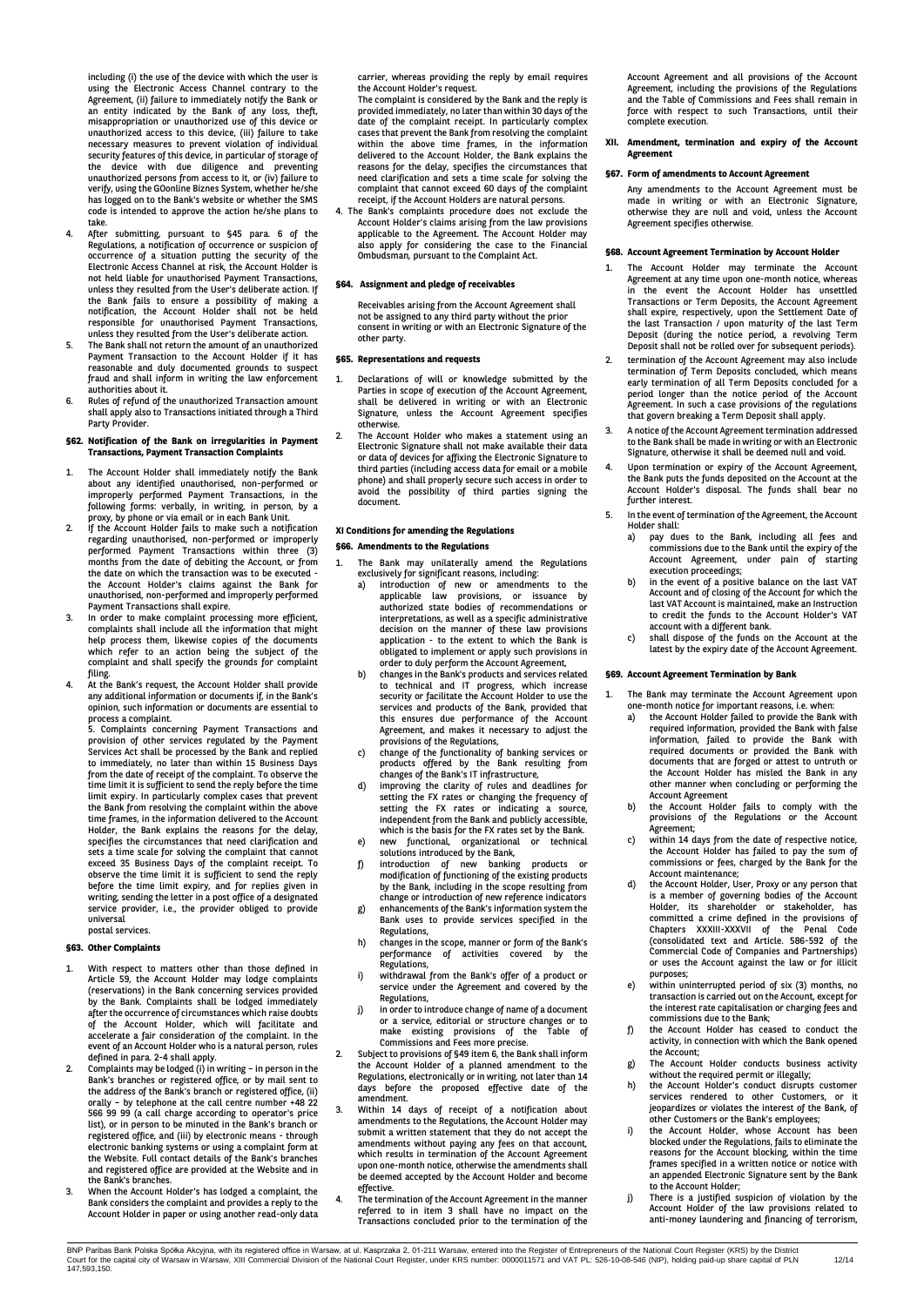including (i) the use of the device with which the user is using the Electronic Access Channel contrary to the Agreement, (ii) failure to immediately notify the Bank or an entity indicated by the Bank of any loss, theft, misappropriation or unauthorized use of this device or unauthorized access to this device, (iii) failure to take necessary measures to prevent violation of individual security features of this device, in particular of storage of<br>the device with due diligence and preventing<br>unauthorized persons from access to it, or (iv) failure to<br>verify, using the GOonline Biznes System, whether he/she has logged on to the Bank's website or whether the SMS code is intended to approve the action he/she plans to take.

- 4. After submitting, pursuant to §45 para. 6 of the Regulations, a notification of occurrence or suspicion of occurrence of a situation putting the security of the Electronic Access Channel at risk, the Account Holder is not held liable for unauthorised Payment Transactions, unless they resulted from the User's deliberate action. If the Bank fails to ensure a possibility of making a notification, the Account Holder shall not be held responsible for unauthorised Payment Transactions, unless they resulted from the User's deliberate action.
- 5. The Bank shall not return the amount of an unauthorized Payment Transaction to the Account Holder if it has reasonable and duly documented grounds to suspect fraud and shall inform in writing the law enforcement authorities about it.
- 6. Rules of refund of the unauthorized Transaction amount shall apply also to Transactions initiated through a Third Party Provider.

#### **§62. Notification of the Bank on irregularities in Payment Transactions, Payment Transaction Complaints**

- 1. The Account Holder shall immediately notify the Bank about any identified unauthorised, non-performed or improperly performed Payment Transactions, in the following forms: verbally, in writing, in person, by a proxy, by phone or via email or in each Bank Unit. 2. If the Account Holder fails to make such a notification
- regarding unauthorised, non-performed or improperly performed Payment Transactions within three (3) months from the date of debiting the Account, or from the date on which the transaction was to be executed - the Account Holder's claims against the Bank for unauthorised, non-performed and improperly performed Payment Transactions shall expire.
- 3. In order to make complaint processing more efficient, complaints shall include all the information that might help process them, likewise copies of the documents which refer to an action being the subject of the complaint and shall specify the grounds for complaint filing.
- 4. At the Bank's request, the Account Holder shall provide any additional information or documents if, in the Bank's opinion, such information or documents are essential to

process a complaint. 5. Complaints concerning Payment Transactions and provision of other services regulated by the Payment Services Act shall be processed by the Bank and replied to immediately, no later than within 15 Business Days from the date of receipt of the complaint. To observe the<br>time limit it is sufficient to send the reply before the time<br>limit expiry. In particularly complex cases that prevent<br>the Bank from resolving the complaint within Holder, the Bank explains the reasons for the delay, specifies the circumstances that need clarification and sets a time scale for solving the complaint that cannot exceed 35 Business Days of the complaint receipt. To observe the time limit it is sufficient to send the reply before the time limit expiry, and for replies given in writing, sending the letter in a post office of a designated service provider, i.e., the provider obliged to provide universal postal services.

## **§63. Other Complaints**

- 1. With respect to matters other than those defined in Article 59, the Account Holder may lodge complaints (reservations) in the Bank concerning services provided by the Bank. Complaints shall be lodged immediately after the occurrence of circumstances which raise doubts of the Account Holder, which will facilitate and accelerate a fair consideration of the complaint. In the event of an Account Holder who is a natural person, rules defined in para. 2-4 shall apply.
- 2. Complaints may be lodged (i) in writing in person in the Bank's branches or registered office, or by mail sent to the address of the Bank's branch or registered office, (ii) orally – by telephone at the call centre number +48 22 566 99 99 (a call charge according to operator's price list), or in person to be minuted in the Bank's branch or registered office, and (iii) by electronic means - through electronic banking systems or using a complaint form at the Website. Full contact details of the Bank's branches and registered office are provided at the Website and in the Bank's branches.
- 3. When the Account Holder's has lodged a complaint, the Bank considers the complaint and provides a reply to the Account Holder in paper or using another read-only data

carrier, whereas providing the reply by email requires the Account Holder's request.

The complaint is considered by the Bank and the reply is provided immediately, no later than within 30 days of the date of the complaint receipt. In particularly complex cases that prevent the Bank from resolving the complaint within the above time frames, in the information delivered to the Account Holder, the Bank explains the reasons for the delay, specifies the circumstances that need clarification and sets a time scale for solving the complaint that cannot exceed 60 days of the complaint receipt, if the Account Holders are natural persons.

4. The Bank's complaints procedure does not exclude the Account Holder's claims arising from the law provisions applicable to the Agreement. The Account Holder may also apply for considering the case to the Financial Ombudsman, pursuant to the Complaint Act.

#### **§64. Assignment and pledge of receivables**

Receivables arising from the Account Agreement shall not be assigned to any third party without the prior consent in writing or with an Electronic Signature of the other party.

#### **§65. Representations and requests**

- Declarations of will or knowledge submitted by the Parties in scope of execution of the Account Agreement, shall be delivered in writing or with an Electronic Signature, unless the Account Agreement specifies otherwise.
- The Account Holder who makes a statement using an Electronic Signature shall not make available their data or data of devices for affixing the Electronic Signature to third parties (including access data for email or a mobile phone) and shall properly secure such access in order to avoid the possibility of third parties signing the document.

## **XI Conditions for amending the Regulations**

#### **§66. Amendments to the Regulations**

- 1. The Bank may unilaterally amend the Regulations exclusively for significant reasons, including:
	- a) introduction of new or amendments to the applicable law provisions, or issuance by authorized state bodies of recommendations or interpretations, as well as a specific administrative decision on the manner of these law provisions application - to the extent to which the Bank is obligated to implement or apply such provisions in order to duly perform the Account Agreement,
	- b) changes in the Bank's products and services related to technical and IT progress, which increase security or facilitate the Account Holder to use the services and products of the Bank, provided that this ensures due performance of the Account Agreement, and makes it necessary to adjust the provisions of the Regulations,
	- c) change of the functionality of banking services or products offered by the Bank resulting from changes of the Bank's IT infrastructure,
	- d) improving the clarity of rules and deadlines for setting the FX rates or changing the frequency of setting the FX rates or indicating a source, independent from the Bank and publicly accessible, which is the basis for the FX rates set by the Bank. e) new functional, organizational or technical
	- solutions introduced by the Bank,
	- f) introduction of new banking products or modiffication of functioning of the existing products by the Bank, including in the scope resulting from change or introduction of new reference indicators
	- g) enhancements of the Bank's information system the Bank uses to provide services specified in the Regulations,
	- h) changes in the scope, manner or form of the Bank's performance of activities covered by the .<br>Pegulations
	- i) withdrawal from the Bank's offer of a product or service under the Agreement and covered by the Regulations,
	- j) in order to introduce change of name of a document or a service, editorial or structure changes or to make existing provisions of the Table of
- Commissions and Fees more precise. 2. Subject to provisions of §49 item 6, the Bank shall inform the Account Holder of a planned amendment to the Regulations, electronically or in writing, not later than 14 days before the proposed effective date of the amendment.
- Within 14 days of receipt of a notification about amendments to the Regulations, the Account Holder may submit a written statement that they do not accept the amendments without paying any fees on that account, which results in termination of the Account Agreement upon one-month notice, otherwise the amendments shall be deemed accepted by the Account Holder and become
- effective. 4. The termination of the Account Agreement in the manner referred to in item 3 shall have no impact on the Transactions concluded prior to the termination of the

Account Agreement and all provisions of the Account Agreement, including the provisions of the Regulations and the Table of Commissions and Fees shall remain in force with respect to such Transactions, until their complete execution.

#### **XII. Amendment, termination and expiry of the Account Agreement**

#### **§67. Form of amendments to Account Agreement**

Any amendments to the Account Agreement must be made in writing or with an Electronic Signature, otherwise they are null and void, unless the Account Agreement specifies otherwise.

#### **§68. Account Agreement Termination by Account Holder**

- 1. The Account Holder may terminate the Account Agreement at any time upon one-month notice, whereas in the event the Account Holder has unsettled Transactions or Term Deposits, the Account Agreement shall expire, respectively, upon the Settlement Date of the last Transaction / upon maturity of the last Term Deposit (during the notice period, a revolving Term Deposit shall not be rolled over for subsequent periods).
- 2. termination of the Account Agreement may also include termination of Term Deposits concluded, which means early termination of all Term Deposits concluded for a period longer than the notice period of the Account Agreement. In such a case provisions of the regulations that govern breaking a Term Deposit shall apply.
- 3. A notice of the Account Agreement termination addressed to the Bank shall be made in writing or with an Electronic Signature, otherwise it shall be deemed null and void.
- 4. Upon termination or expiry of the Account Agreement, the Bank puts the funds deposited on the Account at the Account Holder's disposal. The funds shall bear no further interest.
- 5. In the event of termination of the Agreement, the Account Holder shall:<br>a) pay du
	- a) pay dues to the Bank, including all fees and commissions due to the Bank until the expiry of the Account Agreement, under pain of starting execution proceedings;
	- b) in the event of a positive balance on the last VAT Account and of closing of the Account for which the last VAT Account is maintained, make an Instruction to credit the funds to the Account Holder's VAT account with a different bank.
	- c) shall dispose of the funds on the Account at the latest by the expiry date of the Account Agreement.

## **§69. Account Agreement Termination by Bank**

- 1. The Bank may terminate the Account Agreement upon one-month notice for important reasons, i.e. when:
	- a) the Account Holder failed to provide the Bank with required information, provided the Bank with false information, failed to provide the Bank with required documents or provided the Bank with documents that are forged or attest to untruth or the Account Holder has misled the Bank in any other manner when concluding or performing the
	- Account Agreement b) the Account Holder fails to comply with the provisions of the Regulations or the Account
	- Agreement; c) within 14 days from the date of respective notice, the Account Holder has failed to pay the sum of commissions or fees, charged by the Bank for the
	- Account maintenance;<br>the Account Holder, User, Proxy or any person that<br>is a member of governing bodies of the Account<br>Holder, its shareholder or stakeholder, has<br>committed a crime defined in the provisions of<br>Chapters XXX Commercial Code of Companies and Partnerships) or uses the Account against the law or for illicit purposes;
- e) within uninterrupted period of six (3) months, no transaction is carried out on the Account, except for the interest rate capitalisation or charging fees and commissions due to the Bank;
- f) the Account Holder has ceased to conduct the activity, in connection with which the Bank opened the Account; g) The Account Holder conducts business activity
- without the required permit or illegally;
- h) the Account Holder's conduct disrupts customer services rendered to other Customers, or it jeopardizes or violates the interest of the Bank, of other Customers or the Bank's employees;
- i) the Account Holder, whose Account has been blocked under the Regulations, fails to eliminate the reasons for the Account blocking, within the time frames specified in a written notice or notice with an appended Electronic Signature sent by the Bank to the Account Holder;
- j) There is a justified suspicion of violation by the Account Holder of the law provisions related to anti-money laundering and financing of terrorism,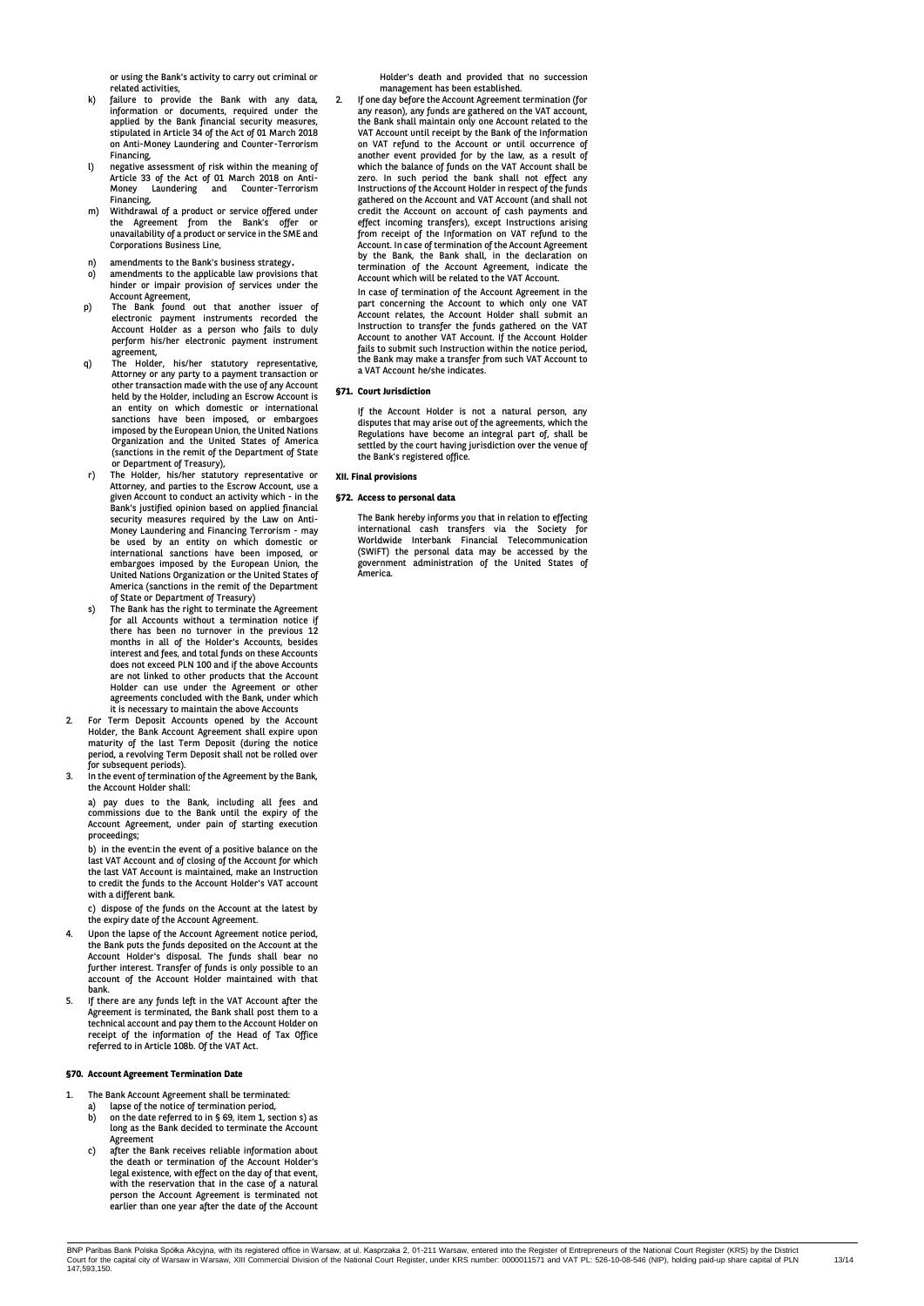or using the Bank's activity to carry out criminal or related activities,

- failure to provide the Bank with any data, information or documents, required under the applied by the Bank financial security measures, stipulated in Article 34 of the Act of 01 March 2018 on Anti-Money Laundering and Counter-Terrorism Financing,
- l) negative assessment of risk within the meaning of Article 33 of the Act of 01 March 2018 on Anti-Money Laundering and Counter-Terrorism Financing,
- m) Withdrawal of a product or service offered under the Agreement from the Bank's offer or unavailability of a product or service in the SME and Corporations Business Line,
- n) amendments to the Bank's business strategy.
- amendments to the applicable law provisions that hinder or impair provision of services under the Account Agreement,
- p) The Bank found out that another issuer of electronic payment instruments recorded the Account Holder as a person who fails to duly perform his/her electronic payment instrument
- agreement, q) The Holder, his/her statutory representative, Attorney or any party to a payment transaction or other transaction made with the use of any Account held by the Holder, including an Escrow Account is an entity on which domestic or international sanctions have been imposed, or embargoes imposed by the European Union, the United Nations Organization and the United States of America (sanctions in the remit of the Department of State or Department of Treasury), r) The Holder, his/her statutory representative or
- Attorney, and parties to the Escrow Account, use a given Account to conduct an activity which in the Bank's justified opinion based on applied financial security measures required by the Law on Anti-Money Laundering and Financing Terrorism - may be used by an entity on which domestic or international sanctions have been imposed, or embargoes imposed by the European Union, the United Nations Organization or the United States of America (sanctions in the remit of the Department of State or Department of Treasury)
- The Bank has the right to terminate the Agreement for all Accounts without a termination notice if there has been no turnover in the previous 12 months in all of the Holder's Accounts, besides interest and fees, and total funds on these Accounts does not exceed PLN 100 and if the above Accounts are not linked to other products that the Account Holder can use under the Agreement or other agreements concluded with the Bank, under which it is necessary to maintain the above Accounts
- 2. For Term Deposit Accounts opened by the Account Holder, the Bank Account Agreement shall expire upon maturity of the last Term Deposit (during the notice period, a revolving Term Deposit shall not be rolled over for subsequent periods).
- 3. In the event of termination of the Agreement by the Bank, the Account Holder shall:

a) pay dues to the Bank, including all fees and commissions due to the Bank until the expiry of the Account Agreement, under pain of starting execution proceedings;

b) in the event:in the event of a positive balance on the last VAT Account and of closing of the Account for which the last VAT Account is maintained, make an Instruction to credit the funds to the Account Holder's VAT account with a different bank.

c) dispose of the funds on the Account at the latest by the expiry date of the Account Agreement.

- 4. Upon the lapse of the Account Agreement notice period,<br>the Bank puts the funds deposited on the Account at the<br>Account Holder's disposal. The funds shall bear no<br>further interest. Transfer of funds is only possible to a account of the Account Holder maintained with that bank.
- If there are any funds left in the VAT Account after the Agreement is terminated, the Bank shall post them to a technical account and pay them to the Account Holder on receipt of the information of the Head of Tax Office referred to in Article 108b. Of the VAT Act.

## **§70. Account Agreement Termination Date**

- 1. The Bank Account Agreement shall be terminated:
	- a) lapse of the notice of termination period,<br>b) on the date referred to in  $\S$  69, item 1, se
	- b) on the date referred to in § 69, item 1, section s) as long as the Bank decided to terminate the Account Agreement
	- c) after the Bank receives reliable information about the death or termination of the Account Holder's legal existence, with effect on the day of that event, with the reservation that in the case of a natural person the Account Agreement is terminated not earlier than one year after the date of the Account

Holder's death and provided that no succession management has been established.

2. If one day before the Account Agreement termination (for any reason), any funds are gathered on the VAT account, the Bank shall maintain only one Account related to the VAT Account until receipt by the Bank of the Information on VAT refund to the Account or until occurrence of another event provided for by the law, as a result of which the balance of funds on the VAT Account shall be zero. In such period the bank shall not effect any Instructions of the Account Holder in respect of the funds gathered on the Account and VAT Account (and shall not credit the Account on account of cash payments and effect incoming transfers), except Instructions arising from receipt of the Information on VAT refund to the Account. In case of termination of the Account Agreement by the Bank, the Bank shall, in the declaration on termination of the Account Agreement, indicate the Account which will be related to the VAT Account.

In case of termination of the Account Agreement in the part concerning the Account to which only one VAT Account relates, the Account Holder shall submit an Instruction to transfer the funds gathered on the VAT Account to another VAT Account. If the Account Holder fails to submit such Instruction within the notice period, the Bank may make a transfer from such VAT Account to a VAT Account he/she indicates.

## **§71. Court Jurisdiction**

If the Account Holder is not a natural person, any disputes that may arise out of the agreements, which the Regulations have become an integral part of, shall be settled by the court having jurisdiction over the venue of the Bank's registered office.

## **XII. Final provisions**

## **§72. Access to personal data**

The Bank hereby informs you that in relation to effecting international cash transfers via the Society for Worldwide Interbank Financial Telecommunication (SWIFT) the personal data may be accessed by the government administration of the United States of America.